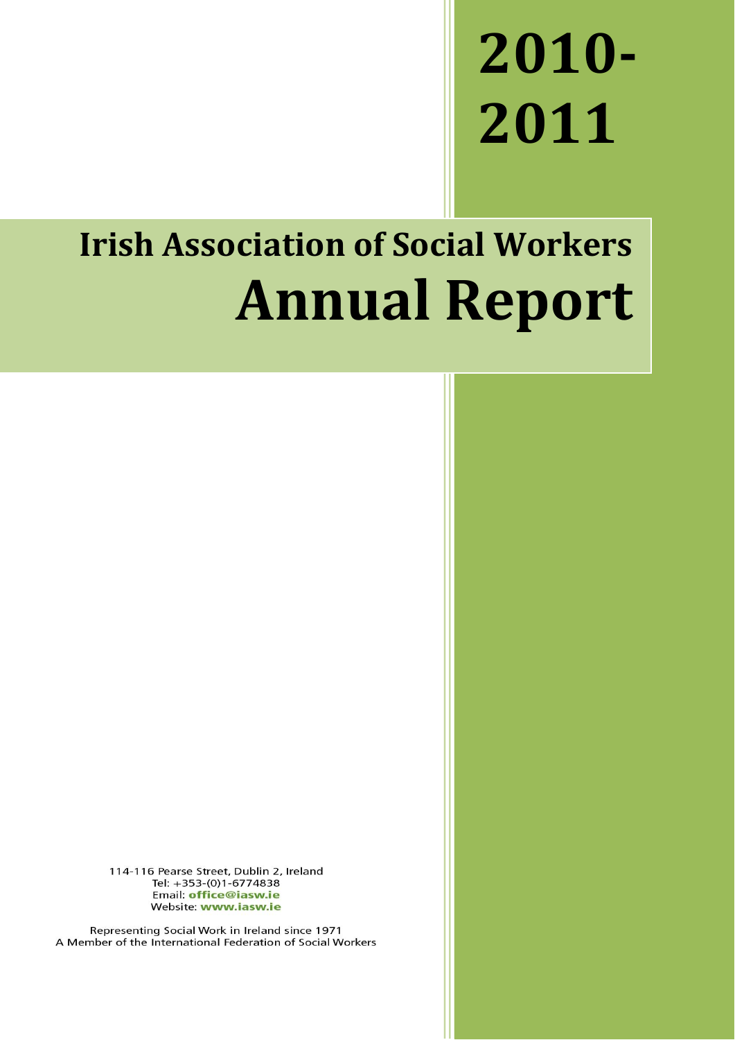# **2010- 2011**

# **Irish Association of Social Workers Annual Report**

114-116 Pearse Street, Dublin 2, Ireland Tel: +353-(0)1-6774838 Email: office@iasw.ie Website: www.iasw.ie

Representing Social Work in Ireland since 1971 A Member of the International Federation of Social Workers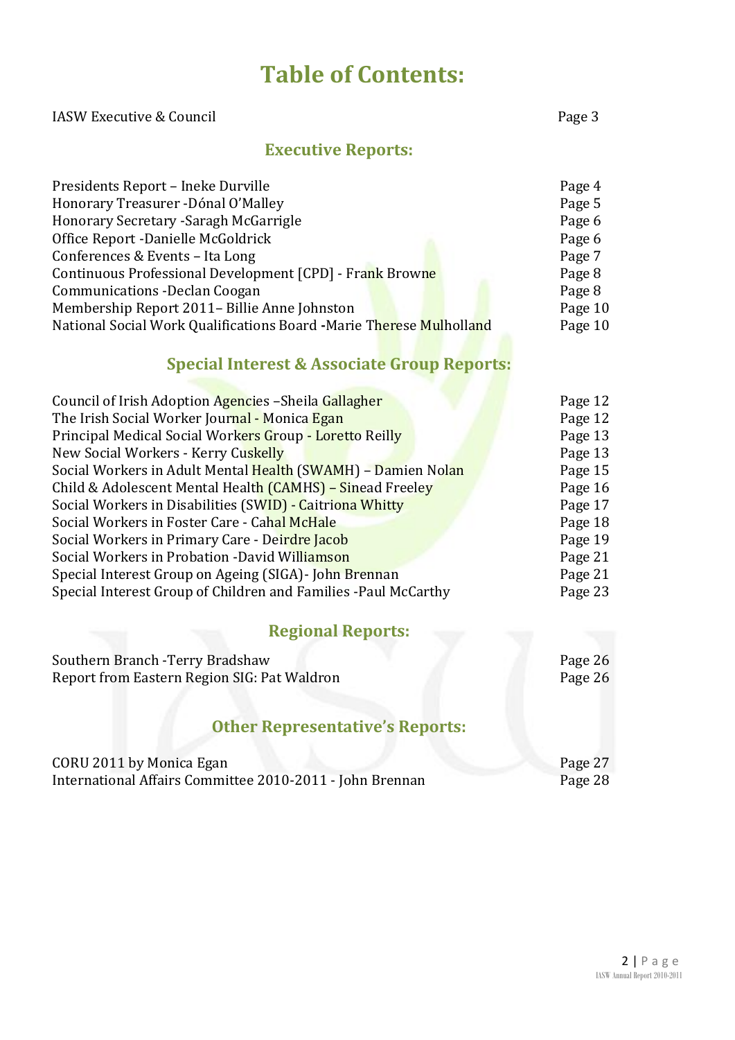# **Table of Contents:**

IASW Executive & Council **Page 3** 

| <b>Executive Reports:</b>                                           |         |
|---------------------------------------------------------------------|---------|
| Presidents Report - Ineke Durville                                  | Page 4  |
| Honorary Treasurer - Dónal O'Malley                                 | Page 5  |
| Honorary Secretary - Saragh McGarrigle                              | Page 6  |
| Office Report - Danielle McGoldrick                                 | Page 6  |
| Conferences & Events - Ita Long                                     | Page 7  |
| Continuous Professional Development [CPD] - Frank Browne            | Page 8  |
| <b>Communications - Declan Coogan</b>                               | Page 8  |
| Membership Report 2011- Billie Anne Johnston                        | Page 10 |
| National Social Work Qualifications Board -Marie Therese Mulholland | Page 10 |
| <b>Special Interest &amp; Associate Group Reports:</b>              |         |
| Council of Irish Adoption Agencies - Sheila Gallagher               | Page 12 |
| The Irish Social Worker Journal - Monica Egan                       | Page 12 |
| Principal Medical Social Workers Group - Loretto Reilly             | Page 13 |
| New Social Workers - Kerry Cuskelly                                 | Page 13 |
| Social Workers in Adult Mental Health (SWAMH) - Damien Nolan        | Page 15 |
| Child & Adolescent Mental Health (CAMHS) - Sinead Freeley           | Page 16 |
| Social Workers in Disabilities (SWID) - Caitriona Whitty            | Page 17 |
| Social Workers in Foster Care - Cahal McHale                        | Page 18 |
| Social Workers in Primary Care - Deirdre Jacob                      | Page 19 |
| Social Workers in Probation -David Williamson                       | Page 21 |
| Special Interest Group on Ageing (SIGA) - John Brennan              | Page 21 |
| Special Interest Group of Children and Families -Paul McCarthy      | Page 23 |
| <b>Regional Reports:</b>                                            |         |
| Southern Branch - Terry Bradshaw                                    | Page 26 |
| Report from Eastern Region SIG: Pat Waldron                         | Page 26 |
| <b>Other Representative's Reports:</b>                              |         |
| CORU 2011 by Monica Egan                                            | Page 27 |
|                                                                     |         |

International Affairs Committee 2010-2011 - John Brennan Page 28

2 | P a g e IASW Annual Report 2010-2011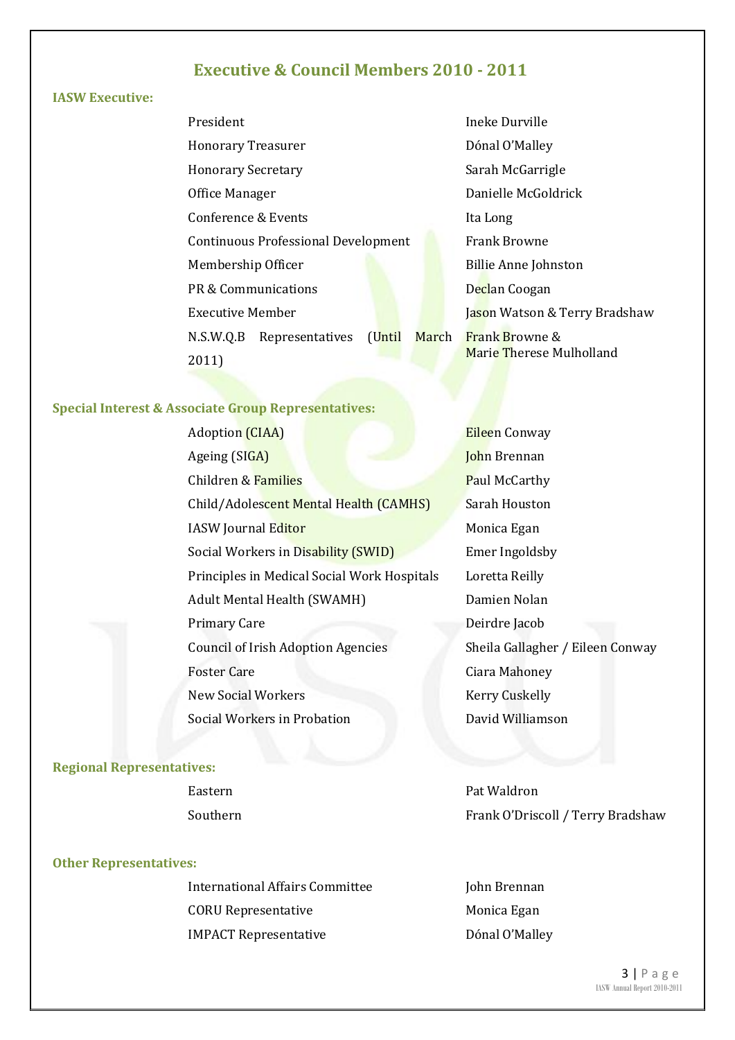#### **Executive & Council Members 2010 - 2011**

#### **IASW Executive:**

| President                 |                                            |  |
|---------------------------|--------------------------------------------|--|
| <b>Honorary Treasurer</b> |                                            |  |
| <b>Honorary Secretary</b> |                                            |  |
| Office Manager            |                                            |  |
| Conference & Events       |                                            |  |
|                           | <b>Continuous Professional Development</b> |  |
| Membership Officer        |                                            |  |
|                           | PR & Communications                        |  |
| <b>Executive Member</b>   |                                            |  |
|                           | N.S.W.Q.B Representatives (Until March     |  |
| 2011)                     |                                            |  |

Ineke Durville Dónal O'Malley Sarah McGarrigle Danielle McGoldrick Ita Long Frank Browne Billie Anne Johnston Declan Coogan Jason Watson & Terry Bradshaw rch Frank Browne & Marie Therese Mulholland

#### **Special Interest & Associate Group Representatives:**

Adoption (CIAA) Ageing (SIGA) **Children & Families Paul McCarthy** Child/Adolescent Mental Health (CAMHS) Sarah Houston IASW Journal Editor Monica Egan Social Workers in Disability (SWID) Emer Ingoldsby Principles in Medical Social Work Hospitals Loretta Reilly Adult Mental Health (SWAMH) Damien Nolan Primary Care **Deirdre** Jacob Council of Irish Adoption Agencies Sheila Gallagher / Eileen Conway Foster Care **Care Contract Contract Contract Ciara Mahoney** New Social Workers Kerry Cuskelly Social Workers in Probation **David Williamson** 

# Eileen Conway John Brennan

#### **Regional Representatives:**

#### **Other Representatives:**

International Affairs Committee Theorem Iohn Brennan CORU Representative IMPACT Representative

Eastern **Pat Waldron** Southern Frank O'Driscoll / Terry Bradshaw

> Monica Egan Dónal O'Malley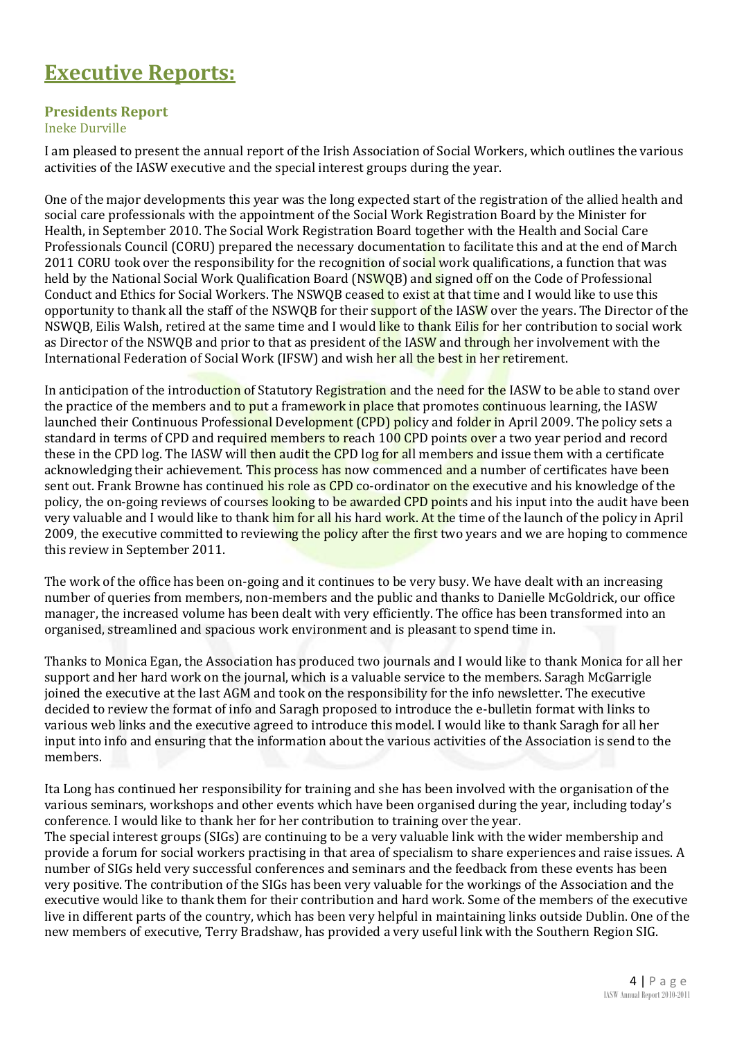## **Executive Reports:**

#### **Presidents Report**

#### Ineke Durville

I am pleased to present the annual report of the Irish Association of Social Workers, which outlines the various activities of the IASW executive and the special interest groups during the year.

One of the major developments this year was the long expected start of the registration of the allied health and social care professionals with the appointment of the Social Work Registration Board by the Minister for Health, in September 2010. The Social Work Registration Board together with the Health and Social Care Professionals Council (CORU) prepared the necessary documentation to facilitate this and at the end of March 2011 CORU took over the responsibility for the recognition of social work qualifications, a function that was held by the National Social Work Qualification Board (NSWOB) and signed off on the Code of Professional Conduct and Ethics for Social Workers. The NSWOB ceased to exist at that time and I would like to use this opportunity to thank all the staff of the NSWQB for their support of the IASW over the years. The Director of the NSWQB, Eilis Walsh, retired at the same time and I would like to thank Eilis for her contribution to social work as Director of the NSWQB and prior to that as president of the IASW and through her involvement with the International Federation of Social Work (IFSW) and wish her all the best in her retirement.

In anticipation of the introduction of Statutory Registration and the need for the IASW to be able to stand over the practice of the members and to put a framework in place that promotes continuous learning, the IASW launched their Continuous Professional Development (CPD) policy and folder in April 2009. The policy sets a standard in terms of CPD and required members to reach 100 CPD points over a two year period and record these in the CPD log. The IASW will then audit the CPD log for all members and issue them with a certificate acknowledging their achievement. This process has now commenced and a number of certificates have been sent out. Frank Browne has continued his role as CPD co-ordinator on the executive and his knowledge of the policy, the on-going reviews of courses looking to be awarded CPD points and his input into the audit have been very valuable and I would like to thank him for all his hard work. At the time of the launch of the policy in April 2009, the executive committed to reviewing the policy after the first two years and we are hoping to commence this review in September 2011.

The work of the office has been on-going and it continues to be very busy. We have dealt with an increasing number of queries from members, non-members and the public and thanks to Danielle McGoldrick, our office manager, the increased volume has been dealt with very efficiently. The office has been transformed into an organised, streamlined and spacious work environment and is pleasant to spend time in.

Thanks to Monica Egan, the Association has produced two journals and I would like to thank Monica for all her support and her hard work on the journal, which is a valuable service to the members. Saragh McGarrigle joined the executive at the last AGM and took on the responsibility for the info newsletter. The executive decided to review the format of info and Saragh proposed to introduce the e-bulletin format with links to various web links and the executive agreed to introduce this model. I would like to thank Saragh for all her input into info and ensuring that the information about the various activities of the Association is send to the members.

Ita Long has continued her responsibility for training and she has been involved with the organisation of the various seminars, workshops and other events which have been organised during the year, including today's conference. I would like to thank her for her contribution to training over the year. The special interest groups (SIGs) are continuing to be a very valuable link with the wider membership and provide a forum for social workers practising in that area of specialism to share experiences and raise issues. A number of SIGs held very successful conferences and seminars and the feedback from these events has been very positive. The contribution of the SIGs has been very valuable for the workings of the Association and the executive would like to thank them for their contribution and hard work. Some of the members of the executive live in different parts of the country, which has been very helpful in maintaining links outside Dublin. One of the new members of executive, Terry Bradshaw, has provided a very useful link with the Southern Region SIG.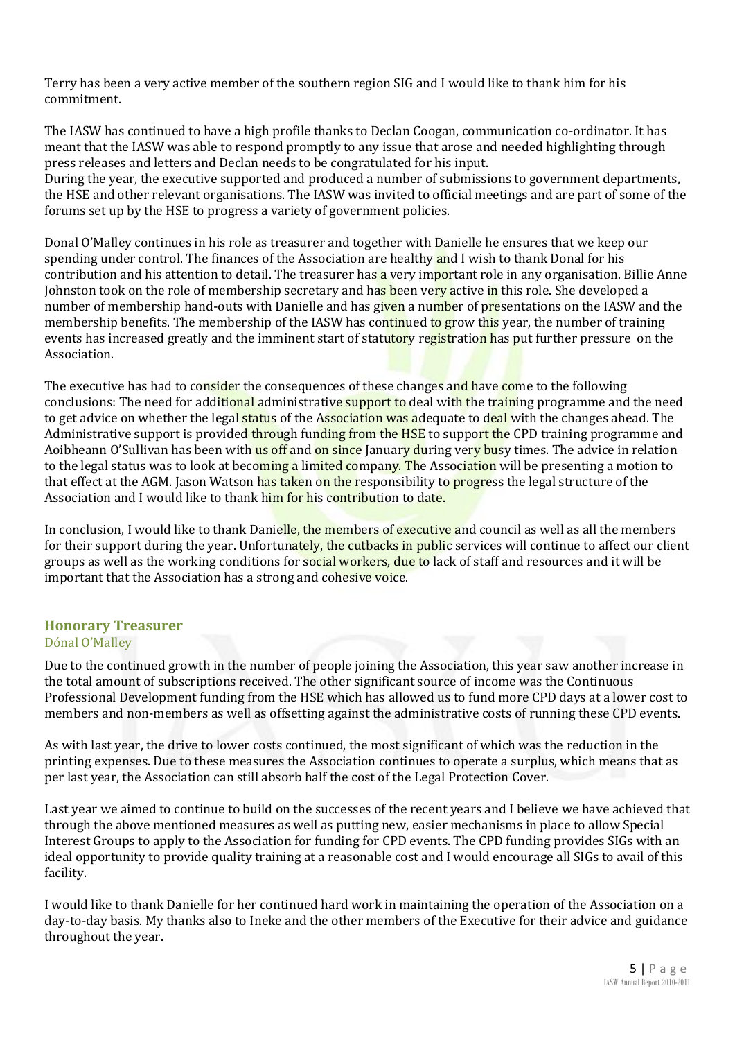Terry has been a very active member of the southern region SIG and I would like to thank him for his commitment.

The IASW has continued to have a high profile thanks to Declan Coogan, communication co-ordinator. It has meant that the IASW was able to respond promptly to any issue that arose and needed highlighting through press releases and letters and Declan needs to be congratulated for his input.

During the year, the executive supported and produced a number of submissions to government departments, the HSE and other relevant organisations. The IASW was invited to official meetings and are part of some of the forums set up by the HSE to progress a variety of government policies.

Donal O'Malley continues in his role as treasurer and together with Danielle he ensures that we keep our spending under control. The finances of the Association are healthy and I wish to thank Donal for his contribution and his attention to detail. The treasurer has a very important role in any organisation. Billie Anne Johnston took on the role of membership secretary and has been very active in this role. She developed a number of membership hand-outs with Danielle and has given a number of presentations on the IASW and the membership benefits. The membership of the IASW has continued to grow this year, the number of training events has increased greatly and the imminent start of statutory registration has put further pressure on the Association.

The executive has had to consider the consequences of these changes and have come to the following conclusions: The need for additional administrative support to deal with the training programme and the need to get advice on whether the legal status of the Association was adequate to deal with the changes ahead. The Administrative support is provided through funding from the HSE to support the CPD training programme and Aoibheann O'Sullivan has been with us off and on since January during very busy times. The advice in relation to the legal status was to look at becoming a limited company. The Association will be presenting a motion to that effect at the AGM. Jason Watson has taken on the responsibility to progress the legal structure of the Association and I would like to thank him for his contribution to date.

In conclusion, I would like to thank Danielle, the members of executive and council as well as all the members for their support during the year. Unfortunately, the cutbacks in public services will continue to affect our client groups as well as the working conditions for social workers, due to lack of staff and resources and it will be important that the Association has a strong and cohesive voice.

#### **Honorary Treasurer** Dónal O'Malley

Due to the continued growth in the number of people joining the Association, this year saw another increase in the total amount of subscriptions received. The other significant source of income was the Continuous Professional Development funding from the HSE which has allowed us to fund more CPD days at a lower cost to members and non-members as well as offsetting against the administrative costs of running these CPD events.

As with last year, the drive to lower costs continued, the most significant of which was the reduction in the printing expenses. Due to these measures the Association continues to operate a surplus, which means that as per last year, the Association can still absorb half the cost of the Legal Protection Cover.

Last year we aimed to continue to build on the successes of the recent years and I believe we have achieved that through the above mentioned measures as well as putting new, easier mechanisms in place to allow Special Interest Groups to apply to the Association for funding for CPD events. The CPD funding provides SIGs with an ideal opportunity to provide quality training at a reasonable cost and I would encourage all SIGs to avail of this facility.

I would like to thank Danielle for her continued hard work in maintaining the operation of the Association on a day-to-day basis. My thanks also to Ineke and the other members of the Executive for their advice and guidance throughout the year.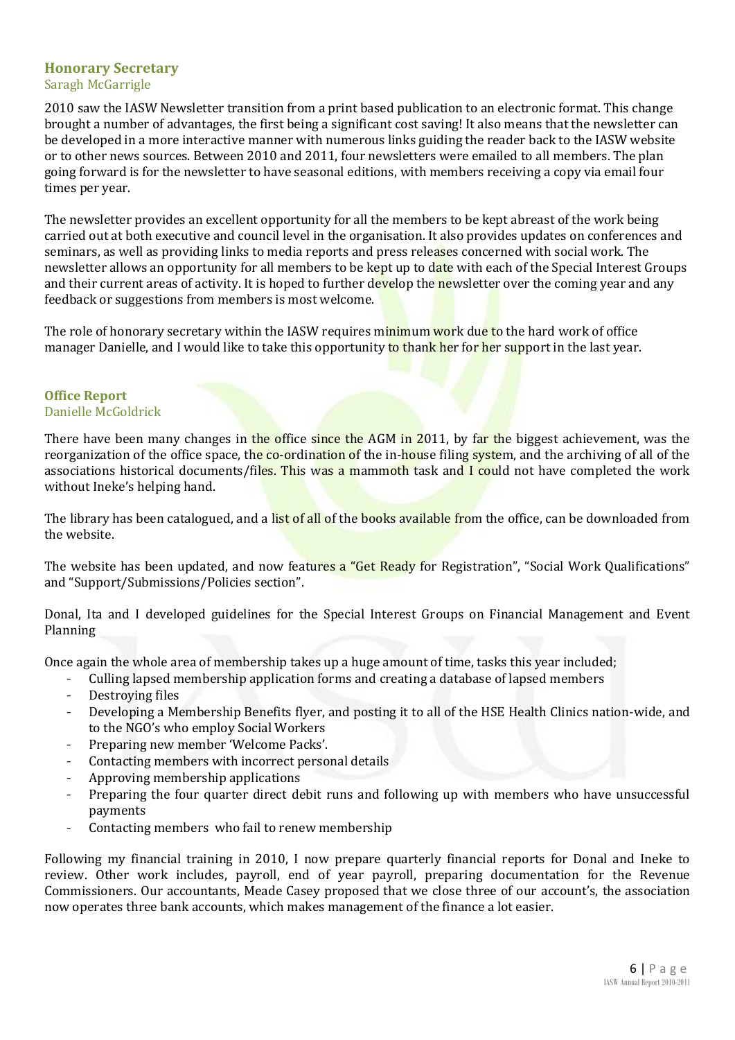#### **Honorary Secretary** Saragh McGarrigle

2010 saw the IASW Newsletter transition from a print based publication to an electronic format. This change brought a number of advantages, the first being a significant cost saving! It also means that the newsletter can be developed in a more interactive manner with numerous links guiding the reader back to the IASW website or to other news sources. Between 2010 and 2011, four newsletters were emailed to all members. The plan going forward is for the newsletter to have seasonal editions, with members receiving a copy via email four times per year.

The newsletter provides an excellent opportunity for all the members to be kept abreast of the work being carried out at both executive and council level in the organisation. It also provides updates on conferences and seminars, as well as providing links to media reports and press releases concerned with social work. The newsletter allows an opportunity for all members to be kept up to date with each of the Special Interest Groups and their current areas of activity. It is hoped to further develop the newsletter over the coming year and any feedback or suggestions from members is most welcome.

The role of honorary secretary within the IASW requires minimum work due to the hard work of office manager Danielle, and I would like to take this opportunity to thank her for her support in the last year.

#### **Office Report** Danielle McGoldrick

There have been many changes in the office since the AGM in 2011, by far the biggest achievement, was the reorganization of the office space, the co-ordination of the in-house filing system, and the archiving of all of the associations historical documents/files. This was a mammoth task and I could not have completed the work without Ineke's helping hand.

The library has been catalogued, and a list of all of the books available from the office, can be downloaded from the website.

The website has been updated, and now features a "Get Ready for Registration", "Social Work Qualifications" and "Support/Submissions/Policies section".

Donal, Ita and I developed guidelines for the Special Interest Groups on Financial Management and Event Planning

Once again the whole area of membership takes up a huge amount of time, tasks this year included;

- Culling lapsed membership application forms and creating a database of lapsed members
- Destroying files
- Developing a Membership Benefits flyer, and posting it to all of the HSE Health Clinics nation-wide, and to the NGO's who employ Social Workers
- Preparing new member 'Welcome Packs'.
- Contacting members with incorrect personal details
- Approving membership applications
- Preparing the four quarter direct debit runs and following up with members who have unsuccessful payments
- Contacting members who fail to renew membership

Following my financial training in 2010, I now prepare quarterly financial reports for Donal and Ineke to review. Other work includes, payroll, end of year payroll, preparing documentation for the Revenue Commissioners. Our accountants, Meade Casey proposed that we close three of our account's, the association now operates three bank accounts, which makes management of the finance a lot easier.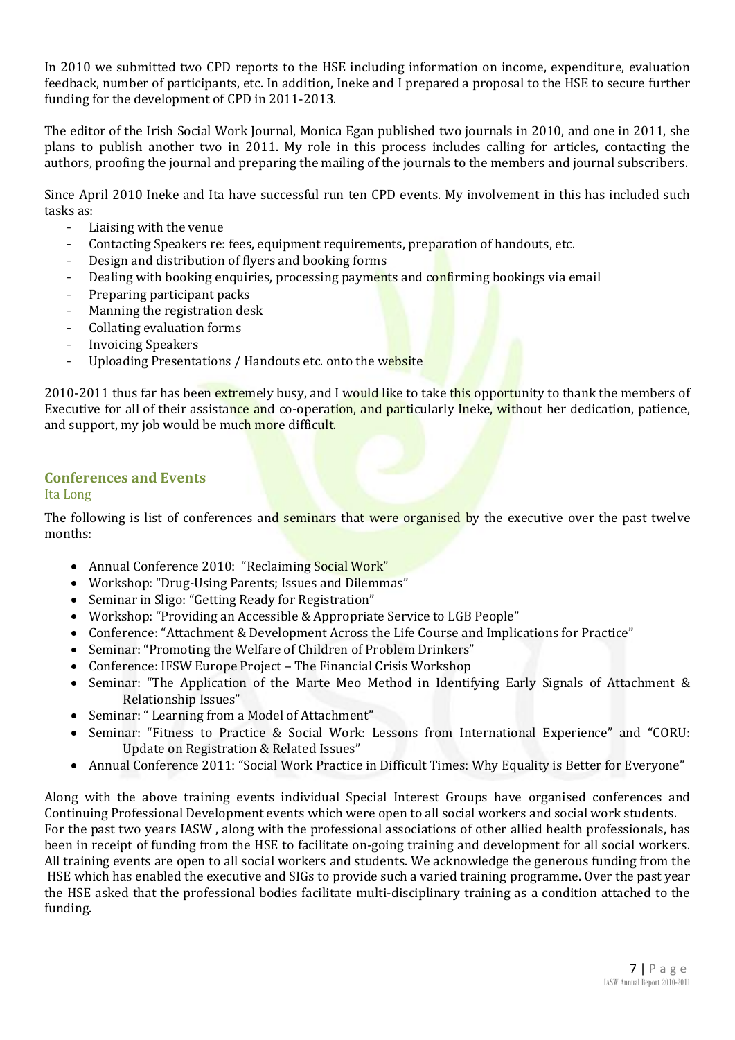In 2010 we submitted two CPD reports to the HSE including information on income, expenditure, evaluation feedback, number of participants, etc. In addition, Ineke and I prepared a proposal to the HSE to secure further funding for the development of CPD in 2011-2013.

The editor of the Irish Social Work Journal, Monica Egan published two journals in 2010, and one in 2011, she plans to publish another two in 2011. My role in this process includes calling for articles, contacting the authors, proofing the journal and preparing the mailing of the journals to the members and journal subscribers.

Since April 2010 Ineke and Ita have successful run ten CPD events. My involvement in this has included such tasks as:

- Liaising with the venue
- Contacting Speakers re: fees, equipment requirements, preparation of handouts, etc.
- Design and distribution of flyers and booking forms
- Dealing with booking enquiries, processing payments and confirming bookings via email
- Preparing participant packs
- Manning the registration desk
- Collating evaluation forms
- Invoicing Speakers
- Uploading Presentations / Handouts etc. onto the website

2010-2011 thus far has been extremely busy, and I would like to take this opportunity to thank the members of Executive for all of their assistance and co-operation, and particularly Ineke, without her dedication, patience, and support, my job would be much more difficult.

#### **Conferences and Events**

#### Ita Long

The following is list of conferences and seminars that were organised by the executive over the past twelve months:

- Annual Conference 2010: "Reclaiming Social Work"
- Workshop: "Drug-Using Parents; Issues and Dilemmas"
- Seminar in Sligo: "Getting Ready for Registration"
- Workshop: "Providing an Accessible & Appropriate Service to LGB People"
- Conference: "Attachment & Development Across the Life Course and Implications for Practice"
- Seminar: "Promoting the Welfare of Children of Problem Drinkers"
- Conference: IFSW Europe Project The Financial Crisis Workshop
- Seminar: "The Application of the Marte Meo Method in Identifying Early Signals of Attachment & Relationship Issues"
- Seminar: "Learning from a Model of Attachment"
- Seminar: "Fitness to Practice & Social Work: Lessons from International Experience" and "CORU: Update on Registration & Related Issues"
- Annual Conference 2011: "Social Work Practice in Difficult Times: Why Equality is Better for Everyone"

Along with the above training events individual Special Interest Groups have organised conferences and Continuing Professional Development events which were open to all social workers and social work students. For the past two years IASW , along with the professional associations of other allied health professionals, has been in receipt of funding from the HSE to facilitate on-going training and development for all social workers. All training events are open to all social workers and students. We acknowledge the generous funding from the HSE which has enabled the executive and SIGs to provide such a varied training programme. Over the past year the HSE asked that the professional bodies facilitate multi-disciplinary training as a condition attached to the funding.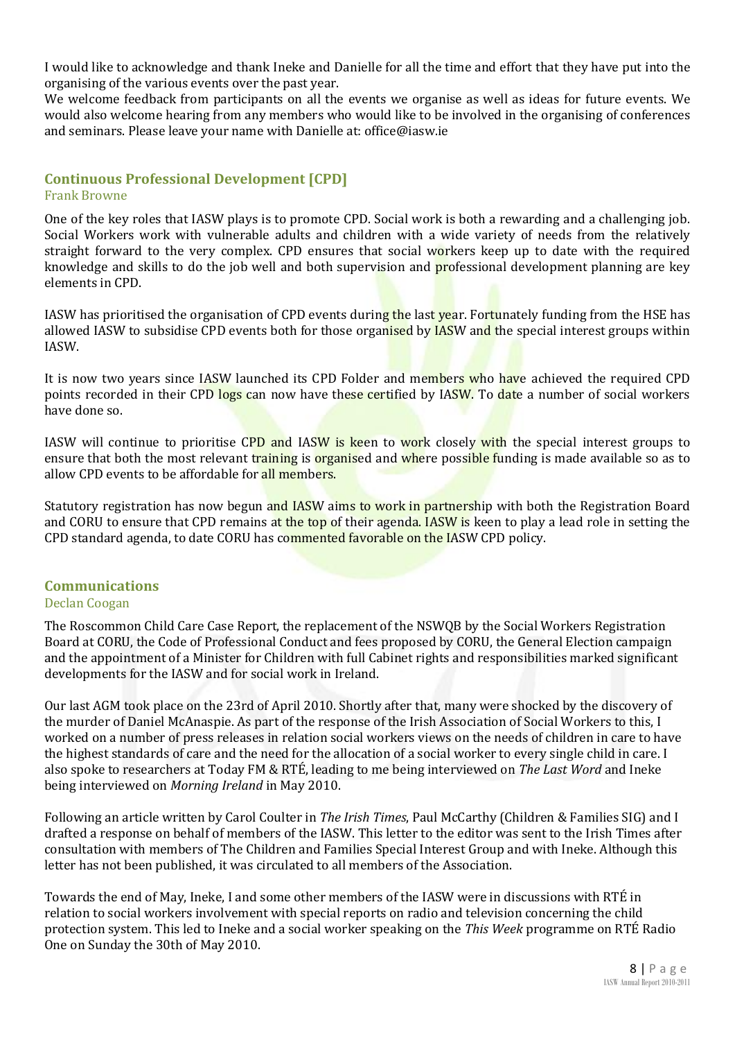I would like to acknowledge and thank Ineke and Danielle for all the time and effort that they have put into the organising of the various events over the past year.

We welcome feedback from participants on all the events we organise as well as ideas for future events. We would also welcome hearing from any members who would like to be involved in the organising of conferences and seminars. Please leave your name with Danielle at: office@iasw.ie

#### **Continuous Professional Development [CPD]** Frank Browne

One of the key roles that IASW plays is to promote CPD. Social work is both a rewarding and a challenging job. Social Workers work with vulnerable adults and children with a wide variety of needs from the relatively straight forward to the very complex. CPD ensures that social workers keep up to date with the required knowledge and skills to do the job well and both supervision and professional development planning are key elements in CPD.

IASW has prioritised the organisation of CPD events during the last year. Fortunately funding from the HSE has allowed IASW to subsidise CPD events both for those organised by IASW and the special interest groups within IASW.

It is now two years since IASW launched its CPD Folder and members who have achieved the required CPD points recorded in their CPD logs can now have these certified by IASW. To date a number of social workers have done so.

IASW will continue to prioritise CPD and IASW is keen to work closely with the special interest groups to ensure that both the most relevant training is organised and where possible funding is made available so as to allow CPD events to be affordable for all members.

Statutory registration has now begun and IASW aims to work in partnership with both the Registration Board and CORU to ensure that CPD remains at the top of their agenda. IASW is keen to play a lead role in setting the CPD standard agenda, to date CORU has commented favorable on the IASW CPD policy.

#### **Communications**

#### Declan Coogan

The Roscommon Child Care Case Report, the replacement of the NSWQB by the Social Workers Registration Board at CORU, the Code of Professional Conduct and fees proposed by CORU, the General Election campaign and the appointment of a Minister for Children with full Cabinet rights and responsibilities marked significant developments for the IASW and for social work in Ireland.

Our last AGM took place on the 23rd of April 2010. Shortly after that, many were shocked by the discovery of the murder of Daniel McAnaspie. As part of the response of the Irish Association of Social Workers to this, I worked on a number of press releases in relation social workers views on the needs of children in care to have the highest standards of care and the need for the allocation of a social worker to every single child in care. I also spoke to researchers at Today FM & RTÉ, leading to me being interviewed on *The Last Word* and Ineke being interviewed on *Morning Ireland* in May 2010.

Following an article written by Carol Coulter in *The Irish Times*, Paul McCarthy (Children & Families SIG) and I drafted a response on behalf of members of the IASW. This letter to the editor was sent to the Irish Times after consultation with members of The Children and Families Special Interest Group and with Ineke. Although this letter has not been published, it was circulated to all members of the Association.

Towards the end of May, Ineke, I and some other members of the IASW were in discussions with RTÉ in relation to social workers involvement with special reports on radio and television concerning the child protection system. This led to Ineke and a social worker speaking on the *This Week* programme on RTÉ Radio One on Sunday the 30th of May 2010.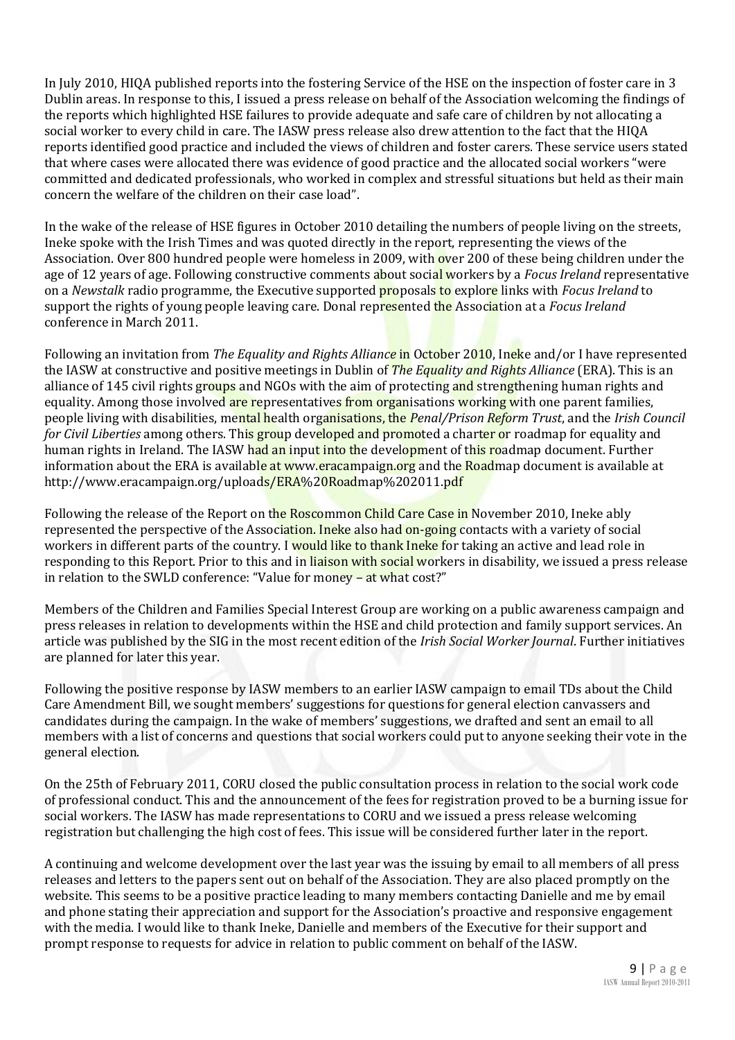In July 2010, HIQA published reports into the fostering Service of the HSE on the inspection of foster care in 3 Dublin areas. In response to this, I issued a press release on behalf of the Association welcoming the findings of the reports which highlighted HSE failures to provide adequate and safe care of children by not allocating a social worker to every child in care. The IASW press release also drew attention to the fact that the HIQA reports identified good practice and included the views of children and foster carers. These service users stated that where cases were allocated there was evidence of good practice and the allocated social workers "were committed and dedicated professionals, who worked in complex and stressful situations but held as their main concern the welfare of the children on their case load".

In the wake of the release of HSE figures in October 2010 detailing the numbers of people living on the streets, Ineke spoke with the Irish Times and was quoted directly in the report, representing the views of the Association. Over 800 hundred people were homeless in 2009, with over 200 of these being children under the age of 12 years of age. Following constructive comments about social workers by a *Focus Ireland* representative on a *Newstalk* radio programme, the Executive supported proposals to explore links with *Focus Ireland* to support the rights of young people leaving care. Donal represented the Association at a *Focus Ireland* conference in March 2011.

Following an invitation from *The Equality and Rights Alliance* in October 2010, Ineke and/or I have represented the IASW at constructive and positive meetings in Dublin of *The Equality and Rights Alliance* (ERA). This is an alliance of 145 civil rights groups and NGOs with the aim of protecting and strengthening human rights and equality. Among those involved are representatives from organisations working with one parent families, people living with disabilities, mental health organisations, the *Penal/Prison Reform Trust*, and the *Irish Council for Civil Liberties* among others. This group developed and promoted a charter or roadmap for equality and human rights in Ireland. The IASW had an input into the development of this roadmap document. Further information about the ERA is available at www.eracampaign.org and the Roadmap document is available at http://www.eracampaign.org/uploads/ERA%20Roadmap%202011.pdf

Following the release of the Report on the Roscommon Child Care Case in November 2010, Ineke ably represented the perspective of the Association. Ineke also had on-going contacts with a variety of social workers in different parts of the country. I would like to thank Ineke for taking an active and lead role in responding to this Report. Prior to this and in liaison with social workers in disability, we issued a press release in relation to the SWLD conference: "Value for money – at what cost?"

Members of the Children and Families Special Interest Group are working on a public awareness campaign and press releases in relation to developments within the HSE and child protection and family support services. An article was published by the SIG in the most recent edition of the *Irish Social Worker Journal*. Further initiatives are planned for later this year.

Following the positive response by IASW members to an earlier IASW campaign to email TDs about the Child Care Amendment Bill, we sought members' suggestions for questions for general election canvassers and candidates during the campaign. In the wake of members' suggestions, we drafted and sent an email to all members with a list of concerns and questions that social workers could put to anyone seeking their vote in the general election.

On the 25th of February 2011, CORU closed the public consultation process in relation to the social work code of professional conduct. This and the announcement of the fees for registration proved to be a burning issue for social workers. The IASW has made representations to CORU and we issued a press release welcoming registration but challenging the high cost of fees. This issue will be considered further later in the report.

A continuing and welcome development over the last year was the issuing by email to all members of all press releases and letters to the papers sent out on behalf of the Association. They are also placed promptly on the website. This seems to be a positive practice leading to many members contacting Danielle and me by email and phone stating their appreciation and support for the Association's proactive and responsive engagement with the media. I would like to thank Ineke, Danielle and members of the Executive for their support and prompt response to requests for advice in relation to public comment on behalf of the IASW.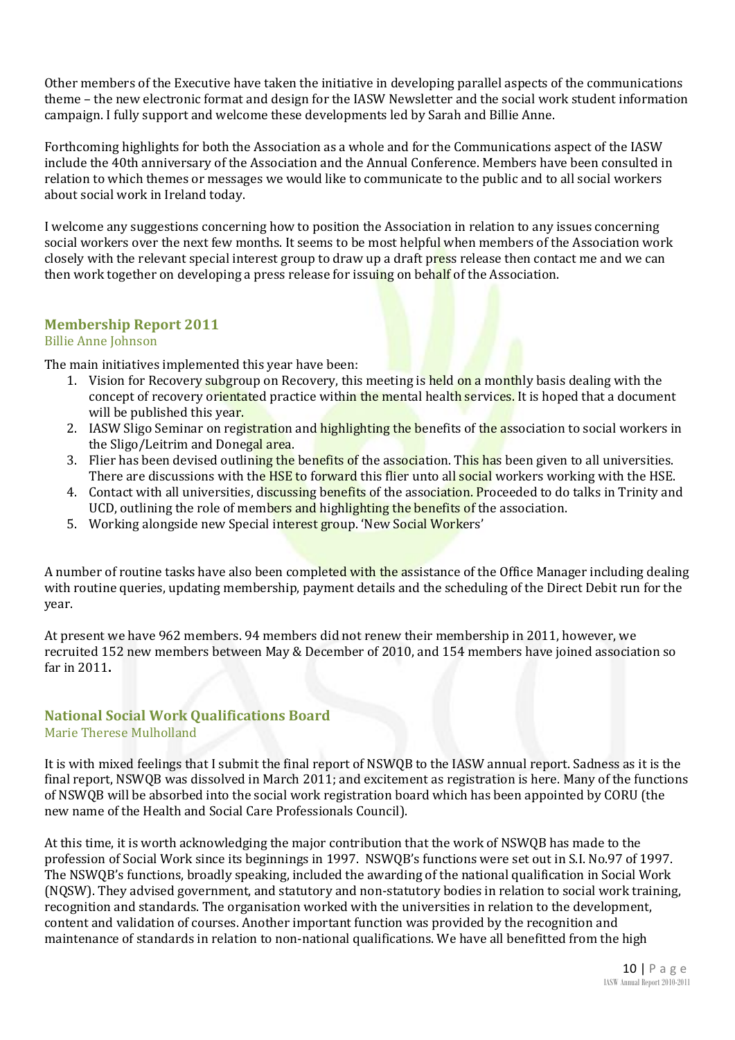Other members of the Executive have taken the initiative in developing parallel aspects of the communications theme – the new electronic format and design for the IASW Newsletter and the social work student information campaign. I fully support and welcome these developments led by Sarah and Billie Anne.

Forthcoming highlights for both the Association as a whole and for the Communications aspect of the IASW include the 40th anniversary of the Association and the Annual Conference. Members have been consulted in relation to which themes or messages we would like to communicate to the public and to all social workers about social work in Ireland today.

I welcome any suggestions concerning how to position the Association in relation to any issues concerning social workers over the next few months. It seems to be most helpful when members of the Association work closely with the relevant special interest group to draw up a draft press release then contact me and we can then work together on developing a press release for issuing on behalf of the Association.

#### **Membership Report 2011**

#### Billie Anne Johnson

The main initiatives implemented this year have been:

- 1. Vision for Recovery subgroup on Recovery, this meeting is held on a monthly basis dealing with the concept of recovery orientated practice within the mental health services. It is hoped that a document will be published this year.
- 2. IASW Sligo Seminar on registration and highlighting the benefits of the association to social workers in the Sligo/Leitrim and Donegal area.
- 3. Flier has been devised outlining the benefits of the association. This has been given to all universities. There are discussions with the HSE to forward this flier unto all social workers working with the HSE.
- 4. Contact with all universities, discussing benefits of the association. Proceeded to do talks in Trinity and UCD, outlining the role of members and highlighting the benefits of the association.
- 5. Working alongside new Special interest group. 'New Social Workers'

A number of routine tasks have also been completed with the assistance of the Office Manager including dealing with routine queries, updating membership, payment details and the scheduling of the Direct Debit run for the year.

At present we have 962 members. 94 members did not renew their membership in 2011, however, we recruited 152 new members between May & December of 2010, and 154 members have joined association so far in 2011**.**

#### **National Social Work Qualifications Board**

Marie Therese Mulholland

It is with mixed feelings that I submit the final report of NSWQB to the IASW annual report. Sadness as it is the final report, NSWQB was dissolved in March 2011; and excitement as registration is here. Many of the functions of NSWQB will be absorbed into the social work registration board which has been appointed by CORU (the new name of the Health and Social Care Professionals Council).

At this time, it is worth acknowledging the major contribution that the work of NSWQB has made to the profession of Social Work since its beginnings in 1997. NSWQB's functions were set out in S.I. No.97 of 1997. The NSWQB's functions, broadly speaking, included the awarding of the national qualification in Social Work (NQSW). They advised government, and statutory and non-statutory bodies in relation to social work training, recognition and standards. The organisation worked with the universities in relation to the development, content and validation of courses. Another important function was provided by the recognition and maintenance of standards in relation to non-national qualifications. We have all benefitted from the high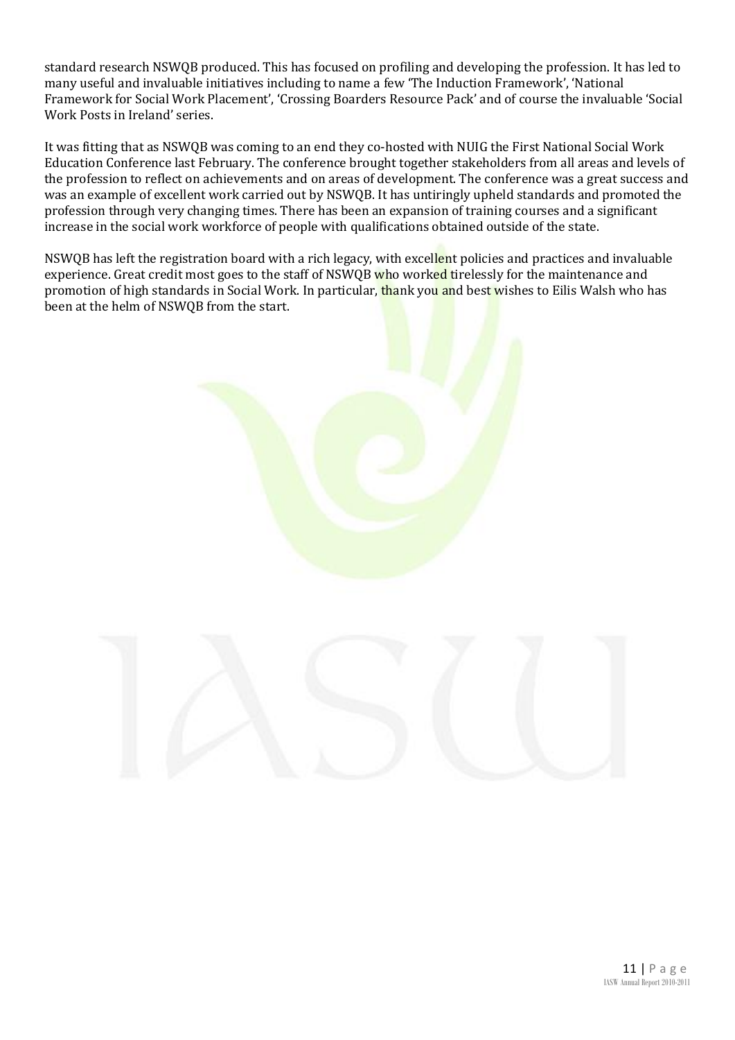standard research NSWQB produced. This has focused on profiling and developing the profession. It has led to many useful and invaluable initiatives including to name a few 'The Induction Framework', 'National Framework for Social Work Placement', 'Crossing Boarders Resource Pack' and of course the invaluable 'Social Work Posts in Ireland' series.

It was fitting that as NSWQB was coming to an end they co-hosted with NUIG the First National Social Work Education Conference last February. The conference brought together stakeholders from all areas and levels of the profession to reflect on achievements and on areas of development. The conference was a great success and was an example of excellent work carried out by NSWQB. It has untiringly upheld standards and promoted the profession through very changing times. There has been an expansion of training courses and a significant increase in the social work workforce of people with qualifications obtained outside of the state.

NSWQB has left the registration board with a rich legacy, with excellent policies and practices and invaluable experience. Great credit most goes to the staff of NSWQB who worked tirelessly for the maintenance and promotion of high standards in Social Work. In particular, thank you and best wishes to Eilis Walsh who has been at the helm of NSWQB from the start.

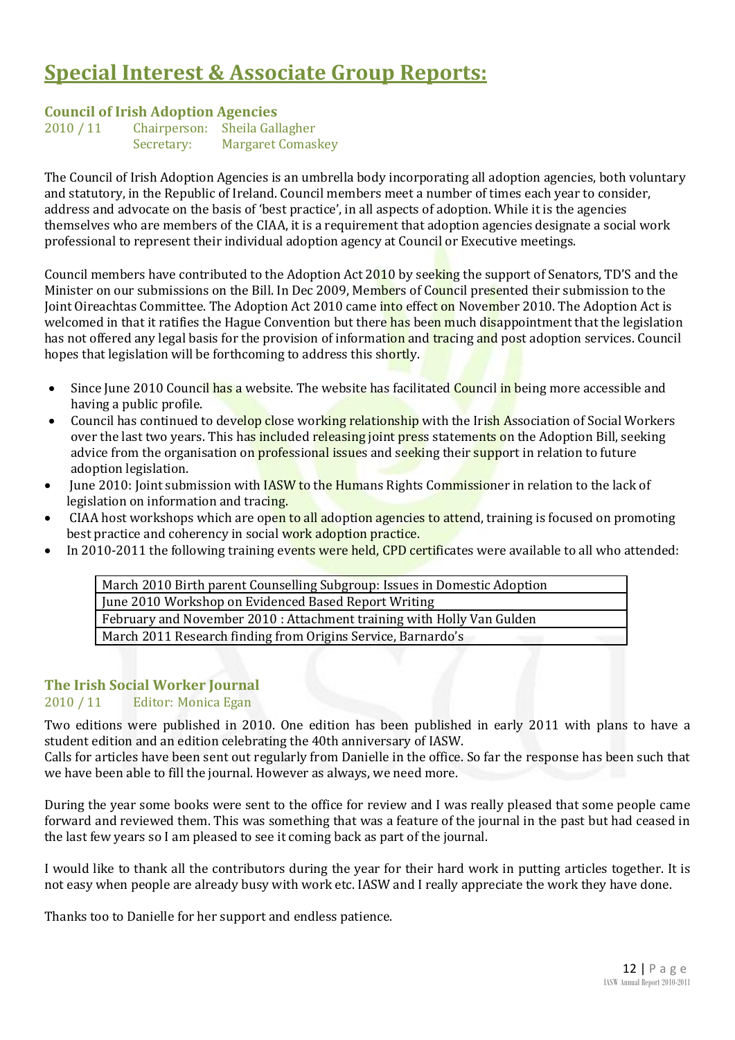# **Special Interest & Associate Group Reports:**

#### **Council of Irish Adoption Agencies**

| 2010 / 11 | Chairperson: | Sheila Gallagher         |
|-----------|--------------|--------------------------|
|           | Secretary:   | <b>Margaret Comaskey</b> |

The Council of Irish Adoption Agencies is an umbrella body incorporating all adoption agencies, both voluntary and statutory, in the Republic of Ireland. Council members meet a number of times each year to consider, address and advocate on the basis of 'best practice', in all aspects of adoption. While it is the agencies themselves who are members of the CIAA, it is a requirement that adoption agencies designate a social work professional to represent their individual adoption agency at Council or Executive meetings.

Council members have contributed to the Adoption Act 2010 by seeking the support of Senators, TD'S and the Minister on our submissions on the Bill. In Dec 2009, Members of Council presented their submission to the Joint Oireachtas Committee. The Adoption Act 2010 came into effect on November 2010. The Adoption Act is welcomed in that it ratifies the Hague Convention but there has been much disappointment that the legislation has not offered any legal basis for the provision of information and tracing and post adoption services. Council hopes that legislation will be forthcoming to address this shortly.

- Since June 2010 Council has a website. The website has facilitated Council in being more accessible and having a public profile.
- Council has continued to develop close working relationship with the Irish Association of Social Workers over the last two years. This has included releasing joint press statements on the Adoption Bill, seeking advice from the organisation on **professional issues** and seeking their support in relation to future adoption legislation.
- June 2010: Joint submission with **IASW to the Humans Rights Commissioner in relation to the lack of** legislation on information and tracing.
- CIAA host workshops which are open to all adoption agencies to attend, training is focused on promoting best practice and coherency in social work adoption practice.
- In 2010-2011 the following training events were held, CPD certificates were available to all who attended:

March 2010 Birth parent Counselling Subgroup: Issues in Domestic Adoption June 2010 Workshop on Evidenced Based Report Writing February and November 2010 : Attachment training with Holly Van Gulden March 2011 Research finding from Origins Service, Barnardo's

#### **The Irish Social Worker Journal**

#### 2010 / 11 Editor: Monica Egan

Two editions were published in 2010. One edition has been published in early 2011 with plans to have a student edition and an edition celebrating the 40th anniversary of IASW.

Calls for articles have been sent out regularly from Danielle in the office. So far the response has been such that we have been able to fill the journal. However as always, we need more.

During the year some books were sent to the office for review and I was really pleased that some people came forward and reviewed them. This was something that was a feature of the journal in the past but had ceased in the last few years so I am pleased to see it coming back as part of the journal.

I would like to thank all the contributors during the year for their hard work in putting articles together. It is not easy when people are already busy with work etc. IASW and I really appreciate the work they have done.

Thanks too to Danielle for her support and endless patience.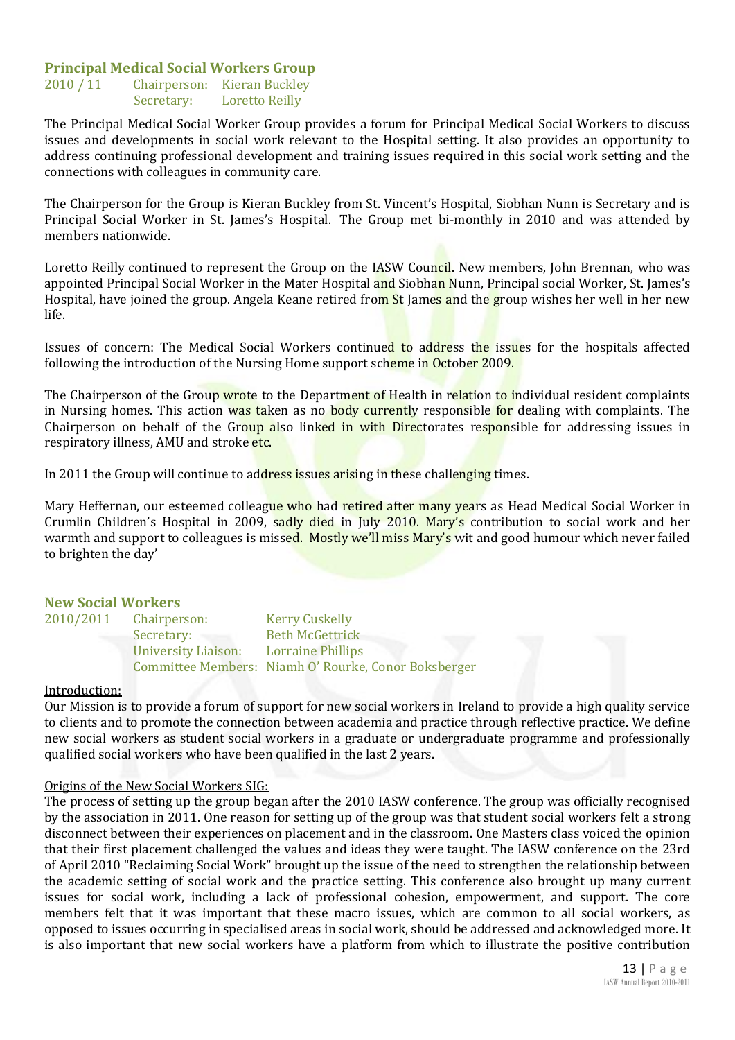#### **Principal Medical Social Workers Group**

2010 / 11 Chairperson: Kieran Buckley Secretary: Loretto Reilly

The Principal Medical Social Worker Group provides a forum for Principal Medical Social Workers to discuss issues and developments in social work relevant to the Hospital setting. It also provides an opportunity to address continuing professional development and training issues required in this social work setting and the connections with colleagues in community care.

The Chairperson for the Group is Kieran Buckley from St. Vincent's Hospital, Siobhan Nunn is Secretary and is Principal Social Worker in St. James's Hospital. The Group met bi-monthly in 2010 and was attended by members nationwide.

Loretto Reilly continued to represent the Group on the IASW Council. New members, John Brennan, who was appointed Principal Social Worker in the Mater Hospital and Siobhan Nunn, Principal social Worker, St. James's Hospital, have joined the group. Angela Keane retired from St James and the group wishes her well in her new life.

Issues of concern: The Medical Social Workers continued to address the issues for the hospitals affected following the introduction of the Nursing Home support scheme in October 2009.

The Chairperson of the Group wrote to the Department of Health in relation to individual resident complaints in Nursing homes. This action was taken as no body currently responsible for dealing with complaints. The Chairperson on behalf of the Group also linked in with Directorates responsible for addressing issues in respiratory illness, AMU and stroke etc.

In 2011 the Group will continue to address issues arising in these challenging times.

Mary Heffernan, our esteemed colleague who had retired after many years as Head Medical Social Worker in Crumlin Children's Hospital in 2009, sadly died in July 2010. Mary's contribution to social work and her warmth and support to colleagues is missed. Mostly we'll miss Mary's wit and good humour which never failed to brighten the day'

#### **New Social Workers**

| 2010/2011 | Chairperson:        | <b>Kerry Cuskelly</b>                                |
|-----------|---------------------|------------------------------------------------------|
|           | Secretary:          | <b>Beth McGettrick</b>                               |
|           | University Liaison: | <b>Lorraine Phillips</b>                             |
|           |                     | Committee Members: Niamh O' Rourke, Conor Boksberger |

#### Introduction:

Our Mission is to provide a forum of support for new social workers in Ireland to provide a high quality service to clients and to promote the connection between academia and practice through reflective practice. We define new social workers as student social workers in a graduate or undergraduate programme and professionally qualified social workers who have been qualified in the last 2 years.

#### Origins of the New Social Workers SIG:

The process of setting up the group began after the 2010 IASW conference. The group was officially recognised by the association in 2011. One reason for setting up of the group was that student social workers felt a strong disconnect between their experiences on placement and in the classroom. One Masters class voiced the opinion that their first placement challenged the values and ideas they were taught. The IASW conference on the 23rd of April 2010 "Reclaiming Social Work" brought up the issue of the need to strengthen the relationship between the academic setting of social work and the practice setting. This conference also brought up many current issues for social work, including a lack of professional cohesion, empowerment, and support. The core members felt that it was important that these macro issues, which are common to all social workers, as opposed to issues occurring in specialised areas in social work, should be addressed and acknowledged more. It is also important that new social workers have a platform from which to illustrate the positive contribution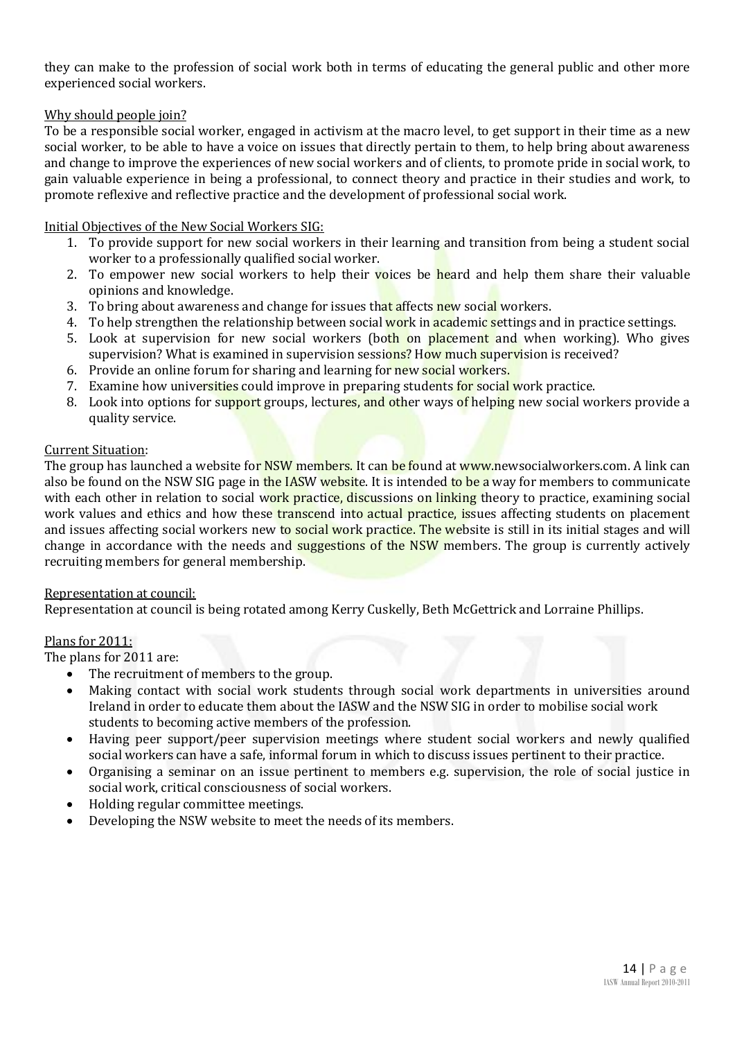they can make to the profession of social work both in terms of educating the general public and other more experienced social workers.

#### Why should people join?

To be a responsible social worker, engaged in activism at the macro level, to get support in their time as a new social worker, to be able to have a voice on issues that directly pertain to them, to help bring about awareness and change to improve the experiences of new social workers and of clients, to promote pride in social work, to gain valuable experience in being a professional, to connect theory and practice in their studies and work, to promote reflexive and reflective practice and the development of professional social work.

#### Initial Objectives of the New Social Workers SIG:

- 1. To provide support for new social workers in their learning and transition from being a student social worker to a professionally qualified social worker.
- 2. To empower new social workers to help their voices be heard and help them share their valuable opinions and knowledge.
- 3. To bring about awareness and change for issues that affects new social workers.
- 4. To help strengthen the relationship between social work in academic settings and in practice settings.
- 5. Look at supervision for new social workers (both on placement and when working). Who gives supervision? What is examined in supervision sessions? How much supervision is received?
- 6. Provide an online forum for sharing and learning for new social workers.
- 7. Examine how universities could improve in preparing students for social work practice.
- 8. Look into options for support groups, lectures, and other ways of helping new social workers provide a quality service.

#### Current Situation:

The group has launched a website for NSW members. It can be found at www.newsocialworkers.com. A link can also be found on the NSW SIG page in the IASW website. It is intended to be a way for members to communicate with each other in relation to social work practice, discussions on linking theory to practice, examining social work values and ethics and how these transcend into actual practice, issues affecting students on placement and issues affecting social workers new to social work practice. The website is still in its initial stages and will change in accordance with the needs and suggestions of the NSW members. The group is currently actively recruiting members for general membership.

#### Representation at council:

Representation at council is being rotated among Kerry Cuskelly, Beth McGettrick and Lorraine Phillips.

#### Plans for 2011:

The plans for 2011 are:

- The recruitment of members to the group.
- Making contact with social work students through social work departments in universities around Ireland in order to educate them about the IASW and the NSW SIG in order to mobilise social work students to becoming active members of the profession.
- Having peer support/peer supervision meetings where student social workers and newly qualified social workers can have a safe, informal forum in which to discuss issues pertinent to their practice.
- Organising a seminar on an issue pertinent to members e.g. supervision, the role of social justice in social work, critical consciousness of social workers.
- Holding regular committee meetings.
- Developing the NSW website to meet the needs of its members.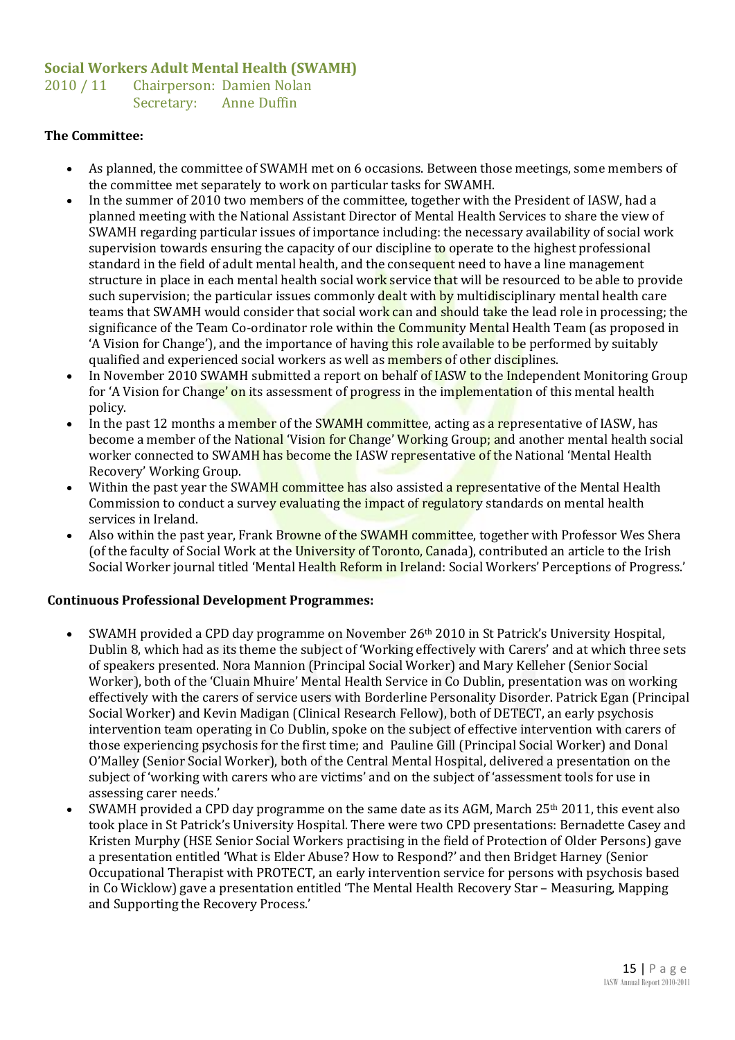#### **Social Workers Adult Mental Health (SWAMH)**

2010 / 11 Chairperson: Damien Nolan Secretary: Anne Duffin

#### **The Committee:**

- As planned, the committee of SWAMH met on 6 occasions. Between those meetings, some members of the committee met separately to work on particular tasks for SWAMH.
- In the summer of 2010 two members of the committee, together with the President of IASW, had a planned meeting with the National Assistant Director of Mental Health Services to share the view of SWAMH regarding particular issues of importance including: the necessary availability of social work supervision towards ensuring the capacity of our discipline to operate to the highest professional standard in the field of adult mental health, and the consequent need to have a line management structure in place in each mental health social work service that will be resourced to be able to provide such supervision; the particular issues commonly dealt with by multidisciplinary mental health care teams that SWAMH would consider that social work can and should take the lead role in processing; the significance of the Team Co-ordinator role within the Community Mental Health Team (as proposed in 'A Vision for Change'), and the importance of having this role available to be performed by suitably qualified and experienced social workers as well as **members** of other disciplines.
- In November 2010 SWAMH submitted a report on behalf of IASW to the Independent Monitoring Group for 'A Vision for Change' on its assessment of progress in the implementation of this mental health policy.
- In the past 12 months a member of the SWAMH committee, acting as a representative of IASW, has become a member of the National 'Vision for Change' Working Group; and another mental health social worker connected to SWAMH has become the IASW representative of the National 'Mental Health Recovery' Working Group.
- Within the past year the SWAMH committee has also assisted a representative of the Mental Health Commission to conduct a survey evaluating the impact of regulatory standards on mental health services in Ireland.
- Also within the past year, Frank Browne of the SWAMH committee, together with Professor Wes Shera (of the faculty of Social Work at the University of Toronto, Canada), contributed an article to the Irish Social Worker journal titled 'Mental Health Reform in Ireland: Social Workers' Perceptions of Progress.'

#### **Continuous Professional Development Programmes:**

- SWAMH provided a CPD day programme on November 26th 2010 in St Patrick's University Hospital, Dublin 8, which had as its theme the subject of 'Working effectively with Carers' and at which three sets of speakers presented. Nora Mannion (Principal Social Worker) and Mary Kelleher (Senior Social Worker), both of the 'Cluain Mhuire' Mental Health Service in Co Dublin, presentation was on working effectively with the carers of service users with Borderline Personality Disorder. Patrick Egan (Principal Social Worker) and Kevin Madigan (Clinical Research Fellow), both of DETECT, an early psychosis intervention team operating in Co Dublin, spoke on the subject of effective intervention with carers of those experiencing psychosis for the first time; and Pauline Gill (Principal Social Worker) and Donal O'Malley (Senior Social Worker), both of the Central Mental Hospital, delivered a presentation on the subject of 'working with carers who are victims' and on the subject of 'assessment tools for use in assessing carer needs.'
- SWAMH provided a CPD day programme on the same date as its AGM, March 25th 2011, this event also took place in St Patrick's University Hospital. There were two CPD presentations: Bernadette Casey and Kristen Murphy (HSE Senior Social Workers practising in the field of Protection of Older Persons) gave a presentation entitled 'What is Elder Abuse? How to Respond?' and then Bridget Harney (Senior Occupational Therapist with PROTECT, an early intervention service for persons with psychosis based in Co Wicklow) gave a presentation entitled 'The Mental Health Recovery Star – Measuring, Mapping and Supporting the Recovery Process.'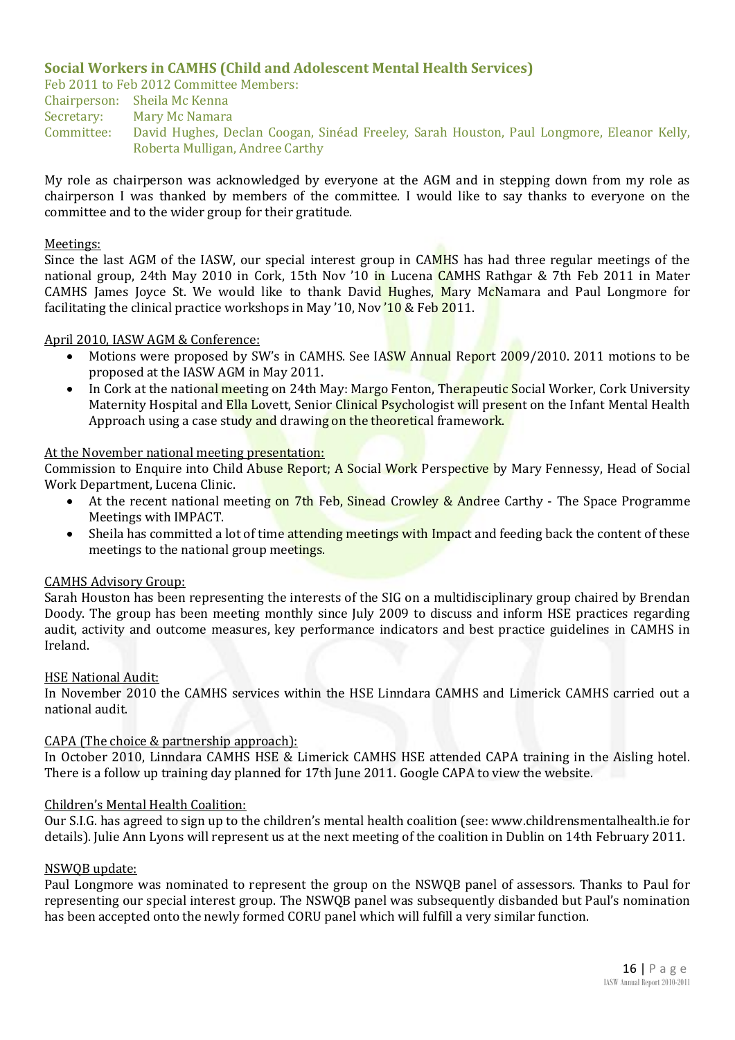#### **Social Workers in CAMHS (Child and Adolescent Mental Health Services)**

Feb 2011 to Feb 2012 Committee Members:

Chairperson: Sheila Mc Kenna Secretary: Mary Mc Namara Committee: David Hughes, Declan Coogan, Sinéad Freeley, Sarah Houston, Paul Longmore, Eleanor Kelly, Roberta Mulligan, Andree Carthy

My role as chairperson was acknowledged by everyone at the AGM and in stepping down from my role as chairperson I was thanked by members of the committee. I would like to say thanks to everyone on the committee and to the wider group for their gratitude.

#### Meetings:

Since the last AGM of the IASW, our special interest group in CAMHS has had three regular meetings of the national group, 24th May 2010 in Cork, 15th Nov '10 in Lucena CAMHS Rathgar & 7th Feb 2011 in Mater CAMHS James Joyce St. We would like to thank David Hughes, Mary McNamara and Paul Longmore for facilitating the clinical practice workshops in May '10, Nov '10 & Feb 2011.

#### April 2010, IASW AGM & Conference:

- Motions were proposed by SW's in CAMHS. See IASW Annual Report 2009/2010. 2011 motions to be proposed at the IASW AGM in May 2011.
- In Cork at the national meeting on 24th May: Margo Fenton, Therapeutic Social Worker, Cork University Maternity Hospital and Ella Lovett, Senior Clinical Psychologist will present on the Infant Mental Health Approach using a case study and drawing on the theoretical framework.

#### At the November national meeting presentation:

Commission to Enquire into Child Abuse Report; A Social Work Perspective by Mary Fennessy, Head of Social Work Department, Lucena Clinic.

- At the recent national meeting on 7th Feb, Sinead Crowley & Andree Carthy The Space Programme Meetings with IMPACT.
- Sheila has committed a lot of time attending meetings with Impact and feeding back the content of these meetings to the national group meetings.

#### CAMHS Advisory Group:

Sarah Houston has been representing the interests of the SIG on a multidisciplinary group chaired by Brendan Doody. The group has been meeting monthly since July 2009 to discuss and inform HSE practices regarding audit, activity and outcome measures, key performance indicators and best practice guidelines in CAMHS in Ireland.

#### HSE National Audit:

In November 2010 the CAMHS services within the HSE Linndara CAMHS and Limerick CAMHS carried out a national audit.

#### CAPA (The choice & partnership approach):

In October 2010, Linndara CAMHS HSE & Limerick CAMHS HSE attended CAPA training in the Aisling hotel. There is a follow up training day planned for 17th June 2011. Google CAPA to view the website.

#### Children's Mental Health Coalition:

Our S.I.G. has agreed to sign up to the children's mental health coalition (see: www.childrensmentalhealth.ie for details). Julie Ann Lyons will represent us at the next meeting of the coalition in Dublin on 14th February 2011.

#### NSWQB update:

Paul Longmore was nominated to represent the group on the NSWQB panel of assessors. Thanks to Paul for representing our special interest group. The NSWQB panel was subsequently disbanded but Paul's nomination has been accepted onto the newly formed CORU panel which will fulfill a very similar function.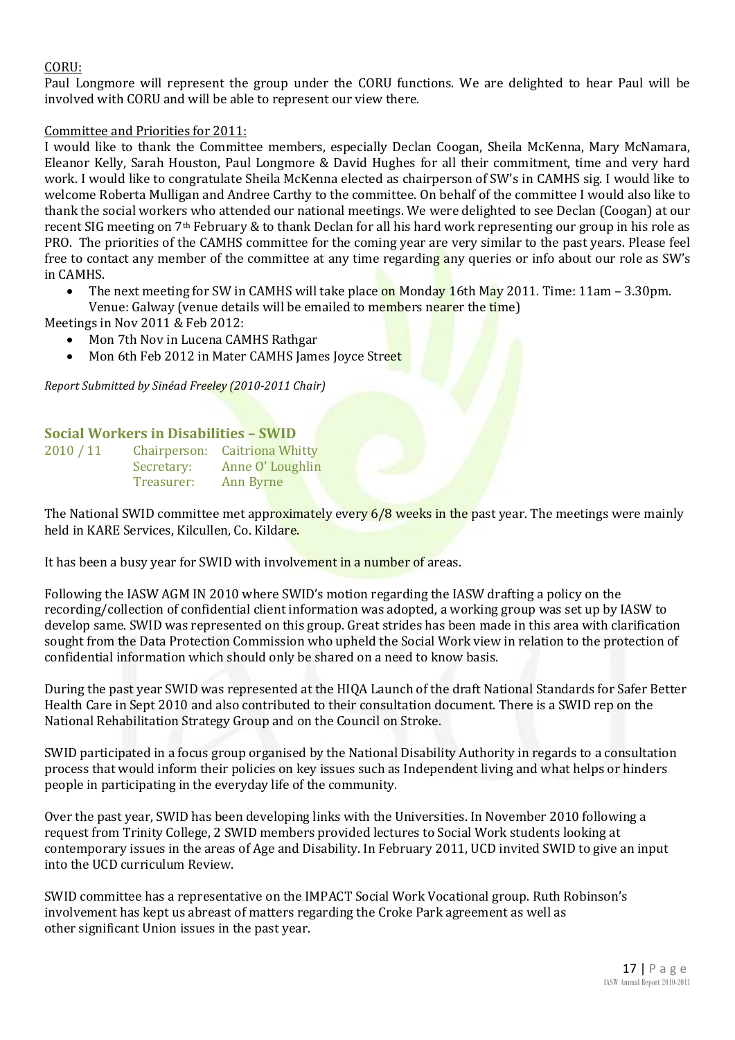#### CORU:

Paul Longmore will represent the group under the CORU functions. We are delighted to hear Paul will be involved with CORU and will be able to represent our view there.

#### Committee and Priorities for 2011:

I would like to thank the Committee members, especially Declan Coogan, Sheila McKenna, Mary McNamara, Eleanor Kelly, Sarah Houston, Paul Longmore & David Hughes for all their commitment, time and very hard work. I would like to congratulate Sheila McKenna elected as chairperson of SW's in CAMHS sig. I would like to welcome Roberta Mulligan and Andree Carthy to the committee. On behalf of the committee I would also like to thank the social workers who attended our national meetings. We were delighted to see Declan (Coogan) at our recent SIG meeting on 7th February & to thank Declan for all his hard work representing our group in his role as PRO. The priorities of the CAMHS committee for the coming year are very similar to the past years. Please feel free to contact any member of the committee at any time regarding any queries or info about our role as SW's in CAMHS.

- The next meeting for SW in CAMHS will take place on Monday 16th May 2011. Time: 11am 3.30pm.
- Venue: Galway (venue details will be emailed to members nearer the time)

Meetings in Nov 2011 & Feb 2012:

- Mon 7th Nov in Lucena CAMHS Rathgar
- Mon 6th Feb 2012 in Mater CAMHS James Joyce Street

*Report Submitted by Sinéad Freeley (2010-2011 Chair)*

#### **Social Workers in Disabilities – SWID**

| 2010 / 11 |            | Chairperson: Caitriona Whitty |
|-----------|------------|-------------------------------|
|           | Secretary: | Anne O' Loughlin              |
|           | Treasurer: | Ann Byrne                     |

The National SWID committee met approximately every 6/8 weeks in the past year. The meetings were mainly held in KARE Services, Kilcullen, Co. Kildare.

It has been a busy year for SWID with involvement in a number of areas.

Following the IASW AGM IN 2010 where SWID's motion regarding the IASW drafting a policy on the recording/collection of confidential client information was adopted, a working group was set up by IASW to develop same. SWID was represented on this group. Great strides has been made in this area with clarification sought from the Data Protection Commission who upheld the Social Work view in relation to the protection of confidential information which should only be shared on a need to know basis.

During the past year SWID was represented at the HIQA Launch of the draft National Standards for Safer Better Health Care in Sept 2010 and also contributed to their consultation document. There is a SWID rep on the National Rehabilitation Strategy Group and on the Council on Stroke.

SWID participated in a focus group organised by the National Disability Authority in regards to a consultation process that would inform their policies on key issues such as Independent living and what helps or hinders people in participating in the everyday life of the community.

Over the past year, SWID has been developing links with the Universities. In November 2010 following a request from Trinity College, 2 SWID members provided lectures to Social Work students looking at contemporary issues in the areas of Age and Disability. In February 2011, UCD invited SWID to give an input into the UCD curriculum Review.

SWID committee has a representative on the IMPACT Social Work Vocational group. Ruth Robinson's involvement has kept us abreast of matters regarding the Croke Park agreement as well as other significant Union issues in the past year.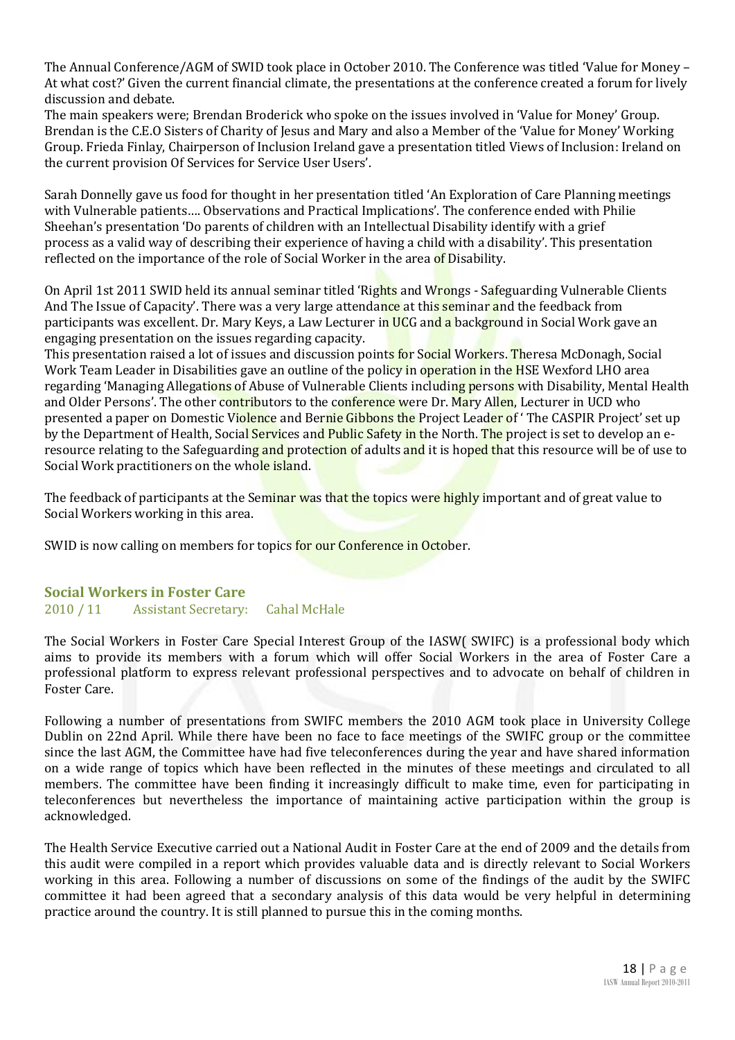The Annual Conference/AGM of SWID took place in October 2010. The Conference was titled 'Value for Money – At what cost?' Given the current financial climate, the presentations at the conference created a forum for lively discussion and debate.

The main speakers were; Brendan Broderick who spoke on the issues involved in 'Value for Money' Group. Brendan is the C.E.O Sisters of Charity of Jesus and Mary and also a Member of the 'Value for Money' Working Group. Frieda Finlay, Chairperson of Inclusion Ireland gave a presentation titled Views of Inclusion: Ireland on the current provision Of Services for Service User Users'.

Sarah Donnelly gave us food for thought in her presentation titled 'An Exploration of Care Planning meetings with Vulnerable patients…. Observations and Practical Implications'. The conference ended with Philie Sheehan's presentation 'Do parents of children with an Intellectual Disability identify with a grief process as a valid way of describing their experience of having a child with a disability'. This presentation reflected on the importance of the role of Social Worker in the area of Disability.

On April 1st 2011 SWID held its annual seminar titled 'Rights and Wrongs - Safeguarding Vulnerable Clients And The Issue of Capacity'. There was a very large attendance at this seminar and the feedback from participants was excellent. Dr. Mary Keys, a Law Lecturer in UCG and a background in Social Work gave an engaging presentation on the issues regarding capacity.

This presentation raised a lot of issues and discussion points for Social Workers. Theresa McDonagh, Social Work Team Leader in Disabilities gave an outline of the policy in operation in the HSE Wexford LHO area regarding 'Managing Allegations of Abuse of Vulnerable Clients including persons with Disability, Mental Health and Older Persons'. The other contributors to the conference were Dr. Mary Allen, Lecturer in UCD who presented a paper on Domestic Violence and Bernie Gibbons the Project Leader of 'The CASPIR Project' set up by the Department of Health, Social Services and Public Safety in the North. The project is set to develop an eresource relating to the Safeguarding and protection of adults and it is hoped that this resource will be of use to Social Work practitioners on the whole island.

The feedback of participants at the Seminar was that the topics were highly important and of great value to Social Workers working in this area.

SWID is now calling on members for topics for our Conference in October.

#### **Social Workers in Foster Care** 2010 / 11 Assistant Secretary: Cahal McHale

The Social Workers in Foster Care Special Interest Group of the IASW( SWIFC) is a professional body which aims to provide its members with a forum which will offer Social Workers in the area of Foster Care a professional platform to express relevant professional perspectives and to advocate on behalf of children in Foster Care.

Following a number of presentations from SWIFC members the 2010 AGM took place in University College Dublin on 22nd April. While there have been no face to face meetings of the SWIFC group or the committee since the last AGM, the Committee have had five teleconferences during the year and have shared information on a wide range of topics which have been reflected in the minutes of these meetings and circulated to all members. The committee have been finding it increasingly difficult to make time, even for participating in teleconferences but nevertheless the importance of maintaining active participation within the group is acknowledged.

The Health Service Executive carried out a National Audit in Foster Care at the end of 2009 and the details from this audit were compiled in a report which provides valuable data and is directly relevant to Social Workers working in this area. Following a number of discussions on some of the findings of the audit by the SWIFC committee it had been agreed that a secondary analysis of this data would be very helpful in determining practice around the country. It is still planned to pursue this in the coming months.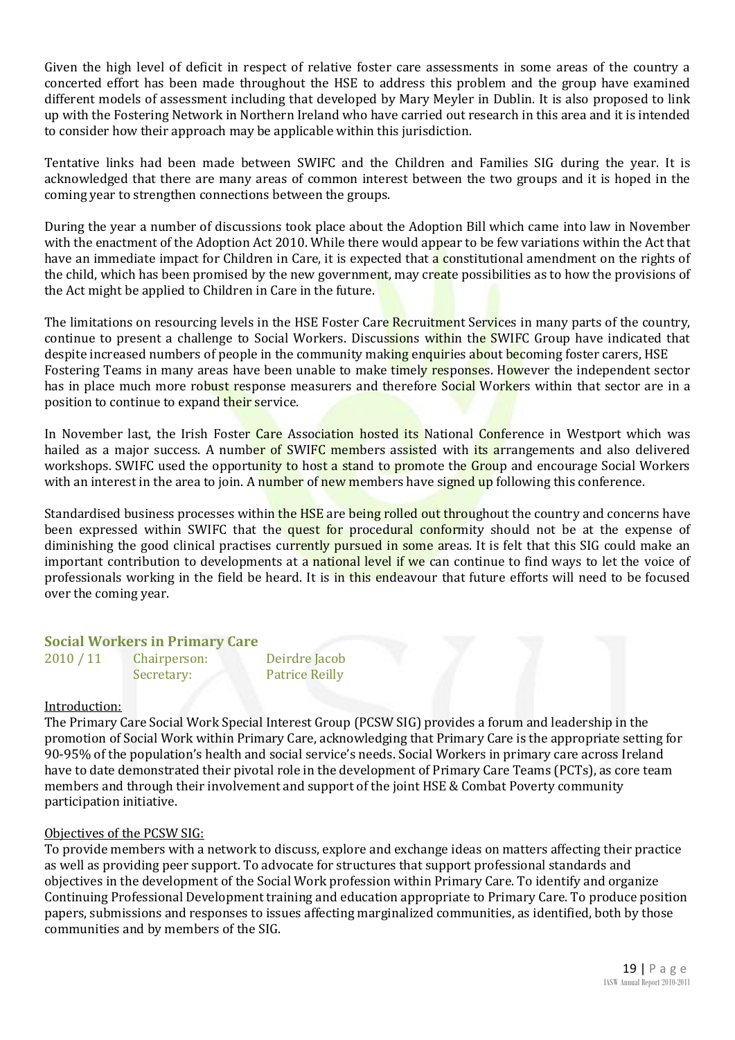Given the high level of deficit in respect of relative foster care assessments in some areas of the country a concerted effort has been made throughout the HSE to address this problem and the group have examined different models of assessment including that developed by Mary Meyler in Dublin. It is also proposed to link up with the Fostering Network in Northern Ireland who have carried out research in this area and it is intended to consider how their approach may be applicable within this jurisdiction.

Tentative links had been made between SWIFC and the Children and Families SIG during the year. It is acknowledged that there are many areas of common interest between the two groups and it is hoped in the coming year to strengthen connections between the groups.

During the year a number of discussions took place about the Adoption Bill which came into law in November with the enactment of the Adoption Act 2010. While there would appear to be few variations within the Act that have an immediate impact for Children in Care, it is expected that a constitutional amendment on the rights of the child, which has been promised by the new government, may create possibilities as to how the provisions of the Act might be applied to Children in Care in the future.

The limitations on resourcing levels in the HSE Foster Care Recruitment Services in many parts of the country, continue to present a challenge to Social Workers. Discussions within the SWIFC Group have indicated that despite increased numbers of people in the community making enquiries about becoming foster carers, HSE Fostering Teams in many areas have been unable to make timely responses. However the independent sector has in place much more robust response measurers and therefore Social Workers within that sector are in a position to continue to expand their service.

In November last, the Irish Foster Care Association hosted its National Conference in Westport which was hailed as a major success. A number of SWIFC members assisted with its arrangements and also delivered workshops. SWIFC used the opportunity to host a stand to promote the Group and encourage Social Workers with an interest in the area to join. A number of new members have signed up following this conference.

Standardised business processes within the HSE are being rolled out throughout the country and concerns have been expressed within SWIFC that the quest for procedural conformity should not be at the expense of diminishing the good clinical practises currently pursued in some areas. It is felt that this SIG could make an important contribution to developments at a national level if we can continue to find ways to let the voice of professionals working in the field be heard. It is in this endeavour that future efforts will need to be focused over the coming year.

#### **Social Workers in Primary Care**

| 2010 / 11 | Chairperson: | Deirdre Jacob         |
|-----------|--------------|-----------------------|
|           | Secretary:   | <b>Patrice Reilly</b> |

#### Introduction:

The Primary Care Social Work Special Interest Group (PCSW SIG) provides a forum and leadership in the promotion of Social Work within Primary Care, acknowledging that Primary Care is the appropriate setting for 90-95% of the population's health and social service's needs. Social Workers in primary care across Ireland have to date demonstrated their pivotal role in the development of Primary Care Teams (PCTs), as core team members and through their involvement and support of the joint HSE & Combat Poverty community participation initiative.

#### Objectives of the PCSW SIG:

To provide members with a network to discuss, explore and exchange ideas on matters affecting their practice as well as providing peer support. To advocate for structures that support professional standards and objectives in the development of the Social Work profession within Primary Care. To identify and organize Continuing Professional Development training and education appropriate to Primary Care. To produce position papers, submissions and responses to issues affecting marginalized communities, as identified, both by those communities and by members of the SIG.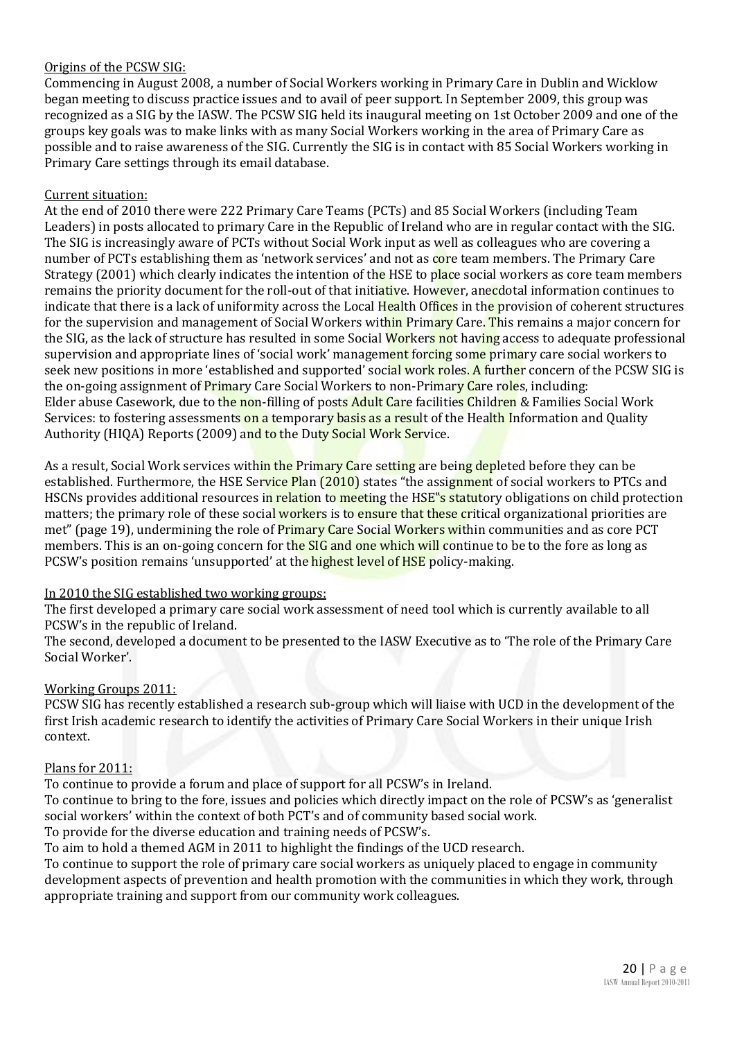#### Origins of the PCSW SIG:

Commencing in August 2008, a number of Social Workers working in Primary Care in Dublin and Wicklow began meeting to discuss practice issues and to avail of peer support. In September 2009, this group was recognized as a SIG by the IASW. The PCSW SIG held its inaugural meeting on 1st October 2009 and one of the groups key goals was to make links with as many Social Workers working in the area of Primary Care as possible and to raise awareness of the SIG. Currently the SIG is in contact with 85 Social Workers working in Primary Care settings through its email database.

#### Current situation:

At the end of 2010 there were 222 Primary Care Teams (PCTs) and 85 Social Workers (including Team Leaders) in posts allocated to primary Care in the Republic of Ireland who are in regular contact with the SIG. The SIG is increasingly aware of PCTs without Social Work input as well as colleagues who are covering a number of PCTs establishing them as 'network services' and not as core team members. The Primary Care Strategy (2001) which clearly indicates the intention of the HSE to place social workers as core team members remains the priority document for the roll-out of that initiative. However, anecdotal information continues to indicate that there is a lack of uniformity across the Local Health Offices in the provision of coherent structures for the supervision and management of Social Workers within Primary Care. This remains a major concern for the SIG, as the lack of structure has resulted in some Social Workers not having access to adequate professional supervision and appropriate lines of 'social work' management forcing some primary care social workers to seek new positions in more 'established and supported' social work roles. A further concern of the PCSW SIG is the on-going assignment of Primary Care Social Workers to non-Primary Care roles, including: Elder abuse Casework, due to the non-filling of posts Adult Care facilities Children & Families Social Work Services: to fostering assessments on a temporary basis as a result of the Health Information and Quality Authority (HIQA) Reports (2009) and to the Duty Social Work Service.

As a result, Social Work services within the Primary Care setting are being depleted before they can be established. Furthermore, the HSE Service Plan (2010) states "the assignment of social workers to PTCs and HSCNs provides additional resources in relation to meeting the HSE<sup>''</sup>s statutory obligations on child protection matters; the primary role of these social workers is to ensure that these critical organizational priorities are met" (page 19), undermining the role of Primary Care Social Workers within communities and as core PCT members. This is an on-going concern for the SIG and one which will continue to be to the fore as long as PCSW's position remains 'unsupported' at the highest level of HSE policy-making.

#### In 2010 the SIG established two working groups:

The first developed a primary care social work assessment of need tool which is currently available to all PCSW's in the republic of Ireland.

The second, developed a document to be presented to the IASW Executive as to 'The role of the Primary Care Social Worker'.

#### Working Groups 2011:

PCSW SIG has recently established a research sub-group which will liaise with UCD in the development of the first Irish academic research to identify the activities of Primary Care Social Workers in their unique Irish context.

#### Plans for 2011:

To continue to provide a forum and place of support for all PCSW's in Ireland.

To continue to bring to the fore, issues and policies which directly impact on the role of PCSW's as 'generalist social workers' within the context of both PCT's and of community based social work.

To provide for the diverse education and training needs of PCSW's.

To aim to hold a themed AGM in 2011 to highlight the findings of the UCD research.

To continue to support the role of primary care social workers as uniquely placed to engage in community development aspects of prevention and health promotion with the communities in which they work, through appropriate training and support from our community work colleagues.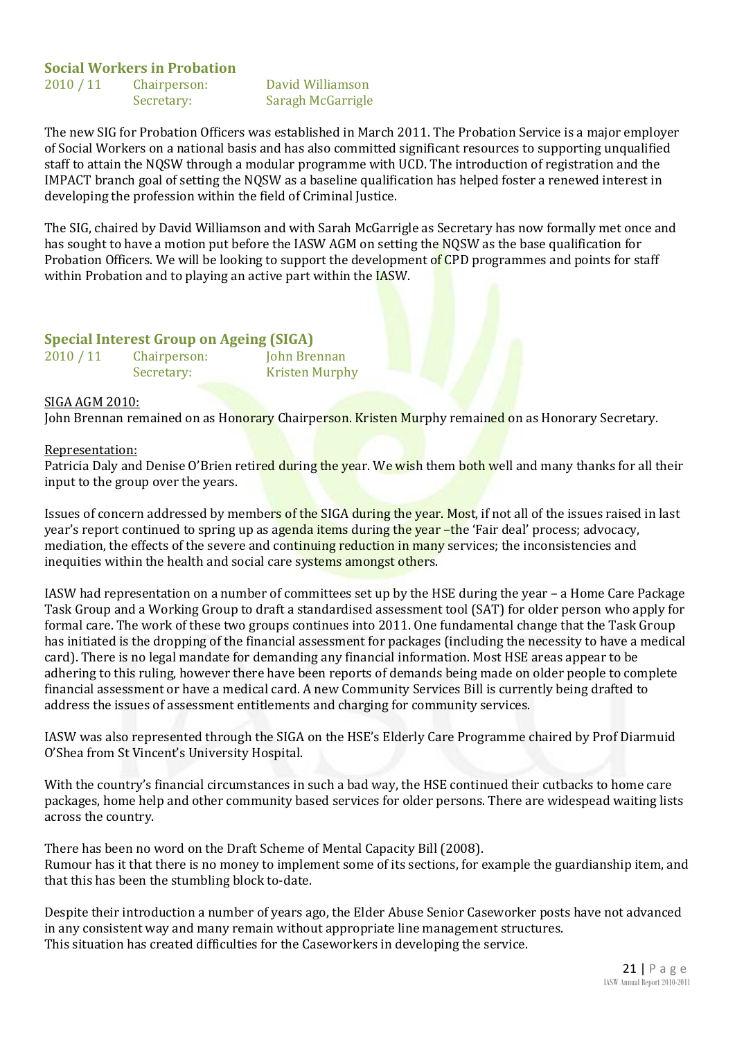#### **Social Workers in Probation**

2010 / 11 Chairperson: David Williamson

Secretary: Saragh McGarrigle

The new SIG for Probation Officers was established in March 2011. The Probation Service is a major employer of Social Workers on a national basis and has also committed significant resources to supporting unqualified staff to attain the NQSW through a modular programme with UCD. The introduction of registration and the IMPACT branch goal of setting the NQSW as a baseline qualification has helped foster a renewed interest in developing the profession within the field of Criminal Justice.

The SIG, chaired by David Williamson and with Sarah McGarrigle as Secretary has now formally met once and has sought to have a motion put before the IASW AGM on setting the NQSW as the base qualification for Probation Officers. We will be looking to support the development of CPD programmes and points for staff within Probation and to playing an active part within the **IASW**.

#### **Special Interest Group on Ageing (SIGA)**

2010 / 11 Chairperson: John Brennan Secretary: Kristen Murphy

#### SIGA AGM 2010:

John Brennan remained on as Honorary Chairperson. Kristen Murphy remained on as Honorary Secretary.

#### Representation:

Patricia Daly and Denise O'Brien retired during the year. We wish them both well and many thanks for all their input to the group over the years.

Issues of concern addressed by members of the SIGA during the year. Most, if not all of the issues raised in last year's report continued to spring up as agenda items during the year –the 'Fair deal' process; advocacy, mediation, the effects of the severe and continuing reduction in many services; the inconsistencies and inequities within the health and social care systems amongst others.

IASW had representation on a number of committees set up by the HSE during the year – a Home Care Package Task Group and a Working Group to draft a standardised assessment tool (SAT) for older person who apply for formal care. The work of these two groups continues into 2011. One fundamental change that the Task Group has initiated is the dropping of the financial assessment for packages (including the necessity to have a medical card). There is no legal mandate for demanding any financial information. Most HSE areas appear to be adhering to this ruling, however there have been reports of demands being made on older people to complete financial assessment or have a medical card. A new Community Services Bill is currently being drafted to address the issues of assessment entitlements and charging for community services.

IASW was also represented through the SIGA on the HSE's Elderly Care Programme chaired by Prof Diarmuid O'Shea from St Vincent's University Hospital.

With the country's financial circumstances in such a bad way, the HSE continued their cutbacks to home care packages, home help and other community based services for older persons. There are widespead waiting lists across the country.

There has been no word on the Draft Scheme of Mental Capacity Bill (2008). Rumour has it that there is no money to implement some of its sections, for example the guardianship item, and that this has been the stumbling block to-date.

Despite their introduction a number of years ago, the Elder Abuse Senior Caseworker posts have not advanced in any consistent way and many remain without appropriate line management structures. This situation has created difficulties for the Caseworkers in developing the service.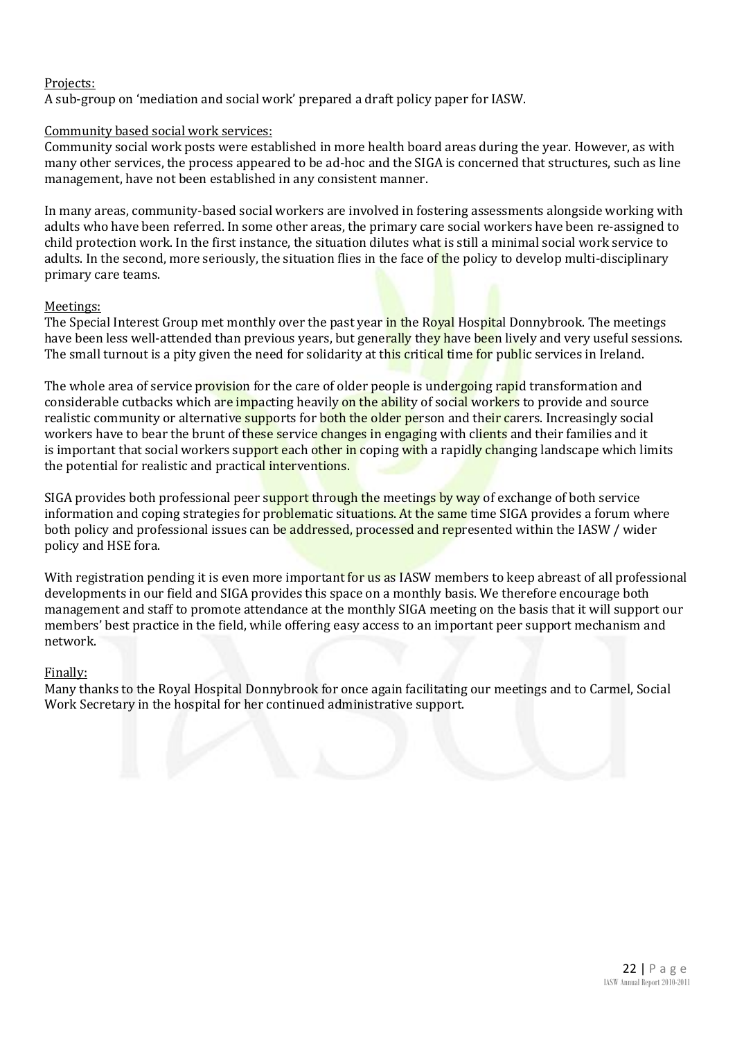#### Projects:

A sub-group on 'mediation and social work' prepared a draft policy paper for IASW.

#### Community based social work services:

Community social work posts were established in more health board areas during the year. However, as with many other services, the process appeared to be ad-hoc and the SIGA is concerned that structures, such as line management, have not been established in any consistent manner.

In many areas, community-based social workers are involved in fostering assessments alongside working with adults who have been referred. In some other areas, the primary care social workers have been re-assigned to child protection work. In the first instance, the situation dilutes what is still a minimal social work service to adults. In the second, more seriously, the situation flies in the face of the policy to develop multi-disciplinary primary care teams.

#### Meetings:

The Special Interest Group met monthly over the past year in the Royal Hospital Donnybrook. The meetings have been less well-attended than previous years, but generally they have been lively and very useful sessions. The small turnout is a pity given the need for solidarity at this critical time for public services in Ireland.

The whole area of service provision for the care of older people is undergoing rapid transformation and considerable cutbacks which are impacting heavily on the ability of social workers to provide and source realistic community or alternative supports for both the older person and their carers. Increasingly social workers have to bear the brunt of these service changes in engaging with clients and their families and it is important that social workers support each other in coping with a rapidly changing landscape which limits the potential for realistic and practical interventions.

SIGA provides both professional peer support through the meetings by way of exchange of both service information and coping strategies for problematic situations. At the same time SIGA provides a forum where both policy and professional issues can be addressed, processed and represented within the IASW / wider policy and HSE fora.

With registration pending it is even more important for us as IASW members to keep abreast of all professional developments in our field and SIGA provides this space on a monthly basis. We therefore encourage both management and staff to promote attendance at the monthly SIGA meeting on the basis that it will support our members' best practice in the field, while offering easy access to an important peer support mechanism and network.

#### Finally:

Many thanks to the Royal Hospital Donnybrook for once again facilitating our meetings and to Carmel, Social Work Secretary in the hospital for her continued administrative support.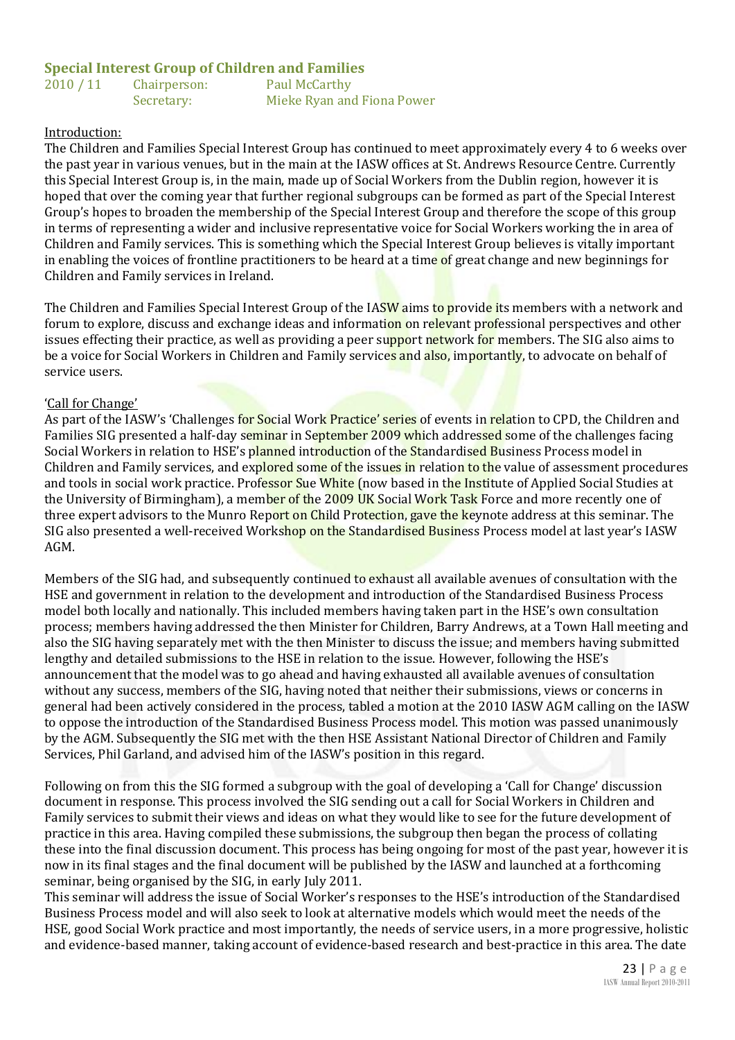#### **Special Interest Group of Children and Families**

2010 / 11 Chairperson: Paul McCarthy Secretary: Mieke Ryan and Fiona Power

#### Introduction:

The Children and Families Special Interest Group has continued to meet approximately every 4 to 6 weeks over the past year in various venues, but in the main at the IASW offices at St. Andrews Resource Centre. Currently this Special Interest Group is, in the main, made up of Social Workers from the Dublin region, however it is hoped that over the coming year that further regional subgroups can be formed as part of the Special Interest Group's hopes to broaden the membership of the Special Interest Group and therefore the scope of this group in terms of representing a wider and inclusive representative voice for Social Workers working the in area of Children and Family services. This is something which the Special Interest Group believes is vitally important in enabling the voices of frontline practitioners to be heard at a time of great change and new beginnings for Children and Family services in Ireland.

The Children and Families Special Interest Group of the IASW aims to provide its members with a network and forum to explore, discuss and exchange ideas and information on relevant professional perspectives and other issues effecting their practice, as well as providing a peer support network for members. The SIG also aims to be a voice for Social Workers in Children and Family services and also, importantly, to advocate on behalf of service users.

#### 'Call for Change'

As part of the IASW's 'Challenges for Social Work Practice' series of events in relation to CPD, the Children and Families SIG presented a half-day seminar in September 2009 which addressed some of the challenges facing Social Workers in relation to HSE's planned introduction of the Standardised Business Process model in Children and Family services, and explored some of the issues in relation to the value of assessment procedures and tools in social work practice. Professor Sue White (now based in the Institute of Applied Social Studies at the University of Birmingham), a member of the 2009 UK Social Work Task Force and more recently one of three expert advisors to the Munro Report on Child Protection, gave the keynote address at this seminar. The SIG also presented a well-received Workshop on the Standardised Business Process model at last year's IASW AGM.

Members of the SIG had, and subsequently continued to exhaust all available avenues of consultation with the HSE and government in relation to the development and introduction of the Standardised Business Process model both locally and nationally. This included members having taken part in the HSE's own consultation process; members having addressed the then Minister for Children, Barry Andrews, at a Town Hall meeting and also the SIG having separately met with the then Minister to discuss the issue; and members having submitted lengthy and detailed submissions to the HSE in relation to the issue. However, following the HSE's announcement that the model was to go ahead and having exhausted all available avenues of consultation without any success, members of the SIG, having noted that neither their submissions, views or concerns in general had been actively considered in the process, tabled a motion at the 2010 IASW AGM calling on the IASW to oppose the introduction of the Standardised Business Process model. This motion was passed unanimously by the AGM. Subsequently the SIG met with the then HSE Assistant National Director of Children and Family Services, Phil Garland, and advised him of the IASW's position in this regard.

Following on from this the SIG formed a subgroup with the goal of developing a 'Call for Change' discussion document in response. This process involved the SIG sending out a call for Social Workers in Children and Family services to submit their views and ideas on what they would like to see for the future development of practice in this area. Having compiled these submissions, the subgroup then began the process of collating these into the final discussion document. This process has being ongoing for most of the past year, however it is now in its final stages and the final document will be published by the IASW and launched at a forthcoming seminar, being organised by the SIG, in early July 2011.

This seminar will address the issue of Social Worker's responses to the HSE's introduction of the Standardised Business Process model and will also seek to look at alternative models which would meet the needs of the HSE, good Social Work practice and most importantly, the needs of service users, in a more progressive, holistic and evidence-based manner, taking account of evidence-based research and best-practice in this area. The date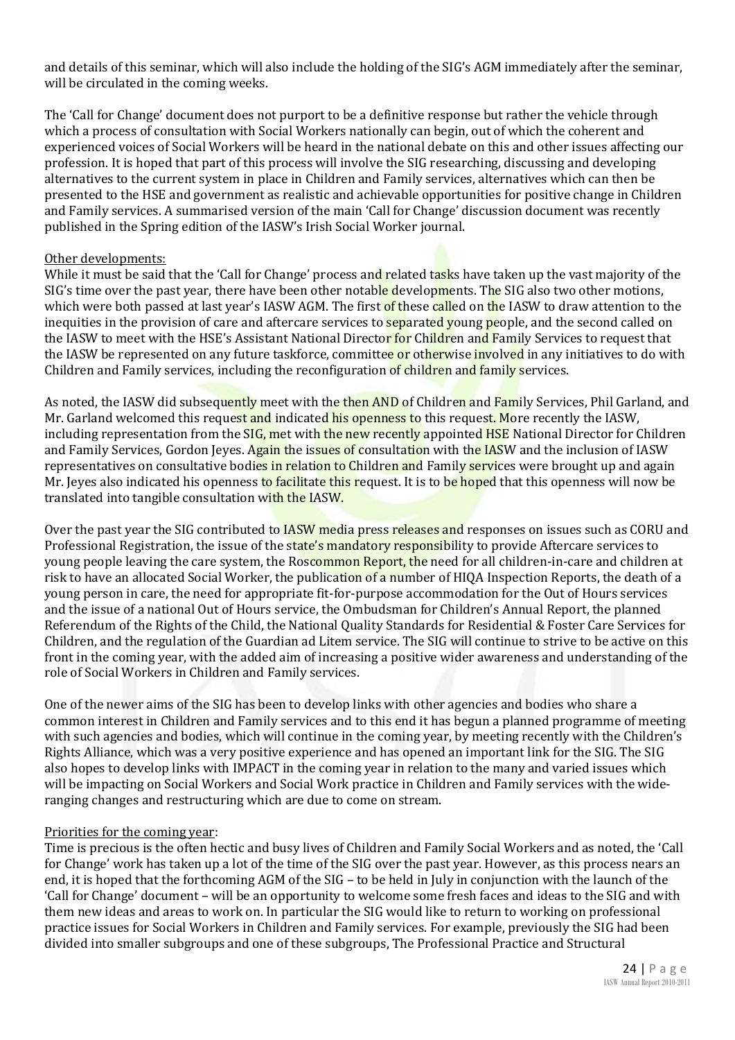and details of this seminar, which will also include the holding of the SIG's AGM immediately after the seminar, will be circulated in the coming weeks.

The 'Call for Change' document does not purport to be a definitive response but rather the vehicle through which a process of consultation with Social Workers nationally can begin, out of which the coherent and experienced voices of Social Workers will be heard in the national debate on this and other issues affecting our profession. It is hoped that part of this process will involve the SIG researching, discussing and developing alternatives to the current system in place in Children and Family services, alternatives which can then be presented to the HSE and government as realistic and achievable opportunities for positive change in Children and Family services. A summarised version of the main 'Call for Change' discussion document was recently published in the Spring edition of the IASW's Irish Social Worker journal.

#### Other developments:

While it must be said that the 'Call for Change' process and related tasks have taken up the vast majority of the SIG's time over the past year, there have been other notable developments. The SIG also two other motions, which were both passed at last year's IASW AGM. The first of these called on the IASW to draw attention to the inequities in the provision of care and aftercare services to **separated young people**, and the second called on the IASW to meet with the HSE's Assistant National Director for Children and Family Services to request that the IASW be represented on any future taskforce, committee or otherwise involved in any initiatives to do with Children and Family services, including the reconfiguration of children and family services.

As noted, the IASW did subsequently meet with the then AND of Children and Family Services, Phil Garland, and Mr. Garland welcomed this request and indicated his openness to this request. More recently the IASW, including representation from the SIG, met with the new recently appointed HSE National Director for Children and Family Services, Gordon Jeyes. Again the issues of consultation with the IASW and the inclusion of IASW representatives on consultative bodies in relation to Children and Family services were brought up and again Mr. Jeyes also indicated his openness to facilitate this request. It is to be hoped that this openness will now be translated into tangible consultation with the IASW.

Over the past year the SIG contributed to **IASW media press releases and** responses on issues such as CORU and Professional Registration, the issue of the state's mandatory responsibility to provide Aftercare services to young people leaving the care system, the Roscommon Report, the need for all children-in-care and children at risk to have an allocated Social Worker, the publication of a number of HIQA Inspection Reports, the death of a young person in care, the need for appropriate fit-for-purpose accommodation for the Out of Hours services and the issue of a national Out of Hours service, the Ombudsman for Children's Annual Report, the planned Referendum of the Rights of the Child, the National Quality Standards for Residential & Foster Care Services for Children, and the regulation of the Guardian ad Litem service. The SIG will continue to strive to be active on this front in the coming year, with the added aim of increasing a positive wider awareness and understanding of the role of Social Workers in Children and Family services.

One of the newer aims of the SIG has been to develop links with other agencies and bodies who share a common interest in Children and Family services and to this end it has begun a planned programme of meeting with such agencies and bodies, which will continue in the coming year, by meeting recently with the Children's Rights Alliance, which was a very positive experience and has opened an important link for the SIG. The SIG also hopes to develop links with IMPACT in the coming year in relation to the many and varied issues which will be impacting on Social Workers and Social Work practice in Children and Family services with the wideranging changes and restructuring which are due to come on stream.

#### Priorities for the coming year:

Time is precious is the often hectic and busy lives of Children and Family Social Workers and as noted, the 'Call for Change' work has taken up a lot of the time of the SIG over the past year. However, as this process nears an end, it is hoped that the forthcoming AGM of the SIG – to be held in July in conjunction with the launch of the 'Call for Change' document – will be an opportunity to welcome some fresh faces and ideas to the SIG and with them new ideas and areas to work on. In particular the SIG would like to return to working on professional practice issues for Social Workers in Children and Family services. For example, previously the SIG had been divided into smaller subgroups and one of these subgroups, The Professional Practice and Structural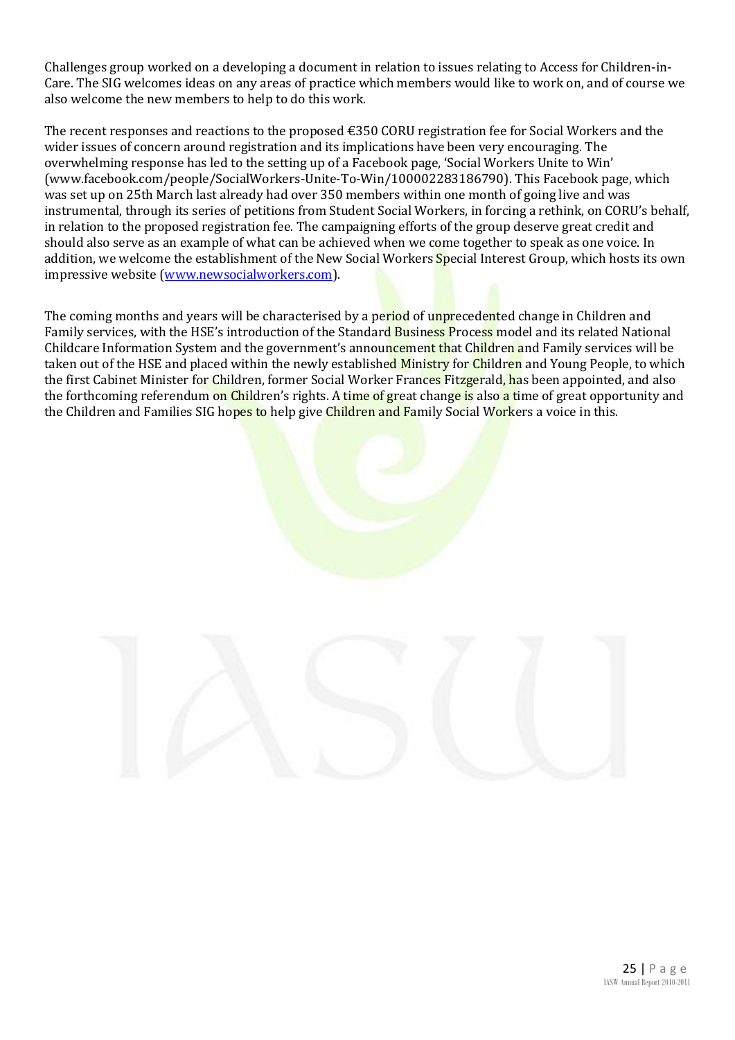Challenges group worked on a developing a document in relation to issues relating to Access for Children-in-Care. The SIG welcomes ideas on any areas of practice which members would like to work on, and of course we also welcome the new members to help to do this work.

The recent responses and reactions to the proposed €350 CORU registration fee for Social Workers and the wider issues of concern around registration and its implications have been very encouraging. The overwhelming response has led to the setting up of a Facebook page, 'Social Workers Unite to Win' (www.facebook.com/people/SocialWorkers-Unite-To-Win/100002283186790). This Facebook page, which was set up on 25th March last already had over 350 members within one month of going live and was instrumental, through its series of petitions from Student Social Workers, in forcing a rethink, on CORU's behalf, in relation to the proposed registration fee. The campaigning efforts of the group deserve great credit and should also serve as an example of what can be achieved when we come together to speak as one voice. In addition, we welcome the establishment of the New Social Workers Special Interest Group, which hosts its own impressive website [\(www.newsocialworkers.com\)](http://www.newsocialworkers.com/).

The coming months and years will be characterised by a period of unprecedented change in Children and Family services, with the HSE's introduction of the Standard Business Process model and its related National Childcare Information System and the government's announcement that Children and Family services will be taken out of the HSE and placed within the newly established Ministry for Children and Young People, to which the first Cabinet Minister for Children, former Social Worker Frances Fitzgerald, has been appointed, and also the forthcoming referendum on Children's rights. A time of great change is also a time of great opportunity and the Children and Families SIG hopes to help give Children and Family Social Workers a voice in this.

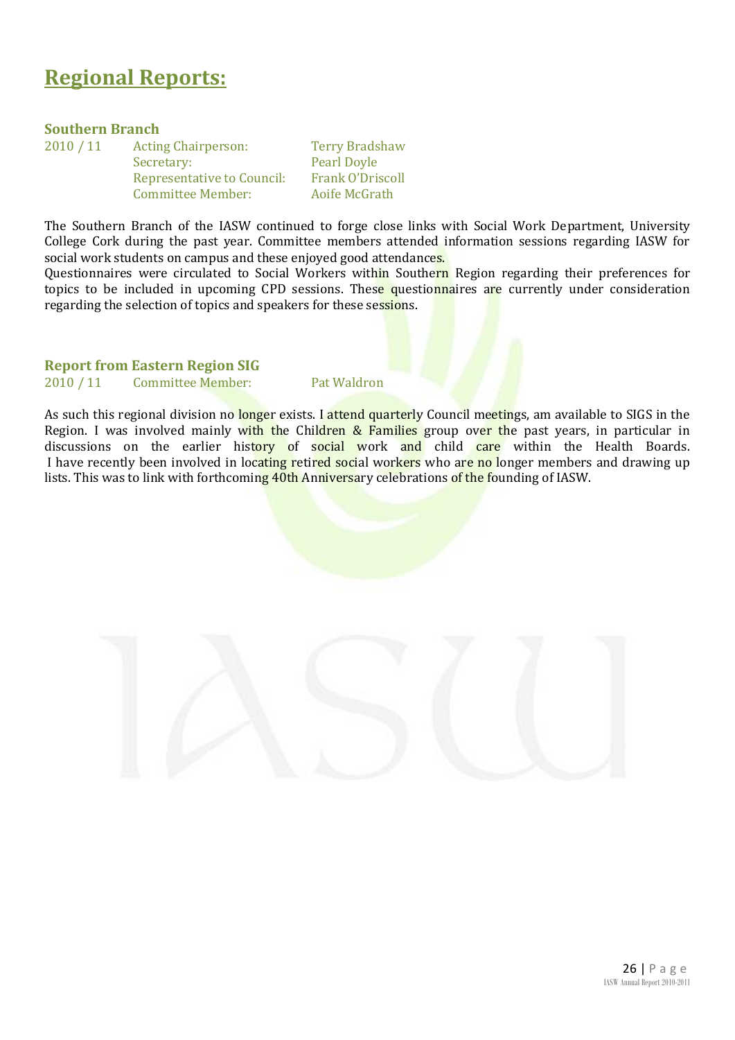### **Regional Reports:**

#### **Southern Branch**

| 2010 / 11 | <b>Acting Chairperson:</b> | Te |
|-----------|----------------------------|----|
|           | Secretary:                 | Pe |
|           | Representative to Council: | Fr |
|           | <b>Committee Member:</b>   | Ao |

**Print Bradshaw** arl Doyle ank O'Driscoll oife McGrath

The Southern Branch of the IASW continued to forge close links with Social Work Department, University College Cork during the past year. Committee members attended information sessions regarding IASW for social work students on campus and these enjoyed good attendances.

Questionnaires were circulated to Social Workers within Southern Region regarding their preferences for topics to be included in upcoming CPD sessions. These questionnaires are currently under consideration regarding the selection of topics and speakers for these sessions.

**Report from Eastern Region SIG**

2010 / 11 Committee Member: Pat Waldron

As such this regional division no longer exists. I attend quarterly Council meetings, am available to SIGS in the Region. I was involved mainly with the Children & Families group over the past years, in particular in discussions on the earlier history of social work and child care within the Health Boards. I have recently been involved in locating retired social workers who are no longer members and drawing up lists. This was to link with forthcoming 40th Anniversary celebrations of the founding of IASW.

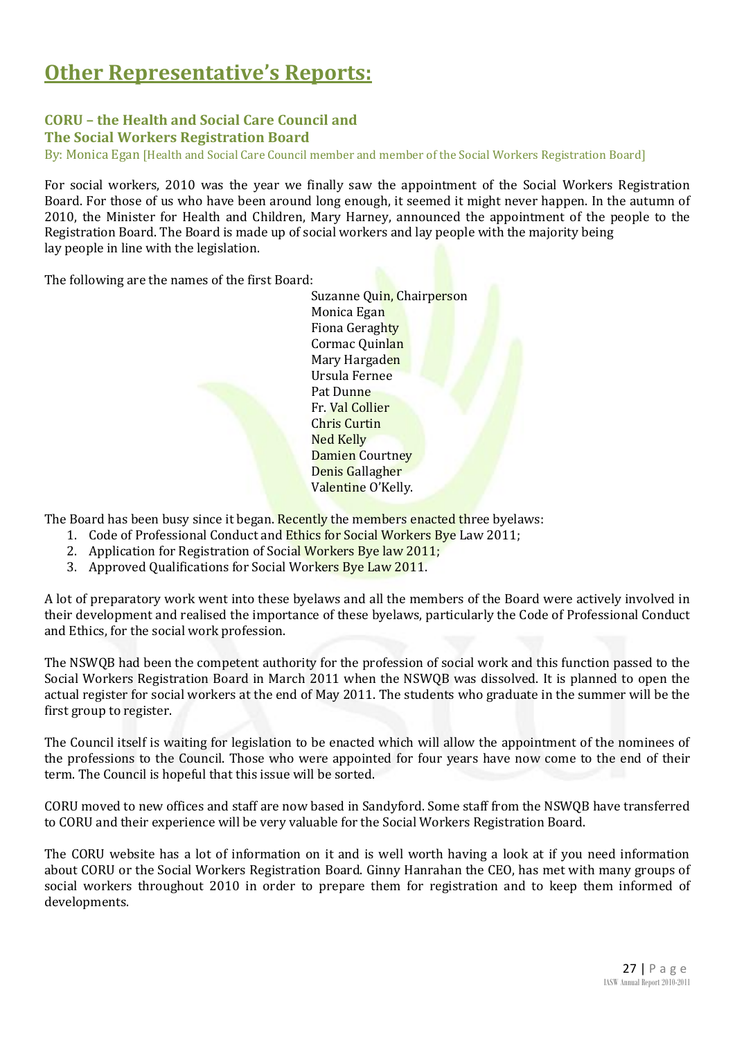# **Other Representative's Reports:**

#### **CORU – the Health and Social Care Council and The Social Workers Registration Board**

By: Monica Egan [Health and Social Care Council member and member of the Social Workers Registration Board]

For social workers, 2010 was the year we finally saw the appointment of the Social Workers Registration Board. For those of us who have been around long enough, it seemed it might never happen. In the autumn of 2010, the Minister for Health and Children, Mary Harney, announced the appointment of the people to the Registration Board. The Board is made up of social workers and lay people with the majority being lay people in line with the legislation.

The following are the names of the first Board:

Suzanne Quin, Chairperson Monica Egan Fiona Geraghty Cormac Quinlan Mary Hargaden Ursula Fernee Pat Dunne Fr. Val Collier Chris Curtin Ned Kelly Damien Courtney Denis Gallagher Valentine O'Kelly.

The Board has been busy since it began. Recently the members enacted three byelaws:

- 1. Code of Professional Conduct and Ethics for Social Workers Bye Law 2011;
- 2. Application for Registration of Social Workers Bye law 2011;
- 3. Approved Qualifications for Social Workers Bye Law 2011.

A lot of preparatory work went into these byelaws and all the members of the Board were actively involved in their development and realised the importance of these byelaws, particularly the Code of Professional Conduct and Ethics, for the social work profession.

The NSWQB had been the competent authority for the profession of social work and this function passed to the Social Workers Registration Board in March 2011 when the NSWQB was dissolved. It is planned to open the actual register for social workers at the end of May 2011. The students who graduate in the summer will be the first group to register.

The Council itself is waiting for legislation to be enacted which will allow the appointment of the nominees of the professions to the Council. Those who were appointed for four years have now come to the end of their term. The Council is hopeful that this issue will be sorted.

CORU moved to new offices and staff are now based in Sandyford. Some staff from the NSWQB have transferred to CORU and their experience will be very valuable for the Social Workers Registration Board.

The CORU website has a lot of information on it and is well worth having a look at if you need information about CORU or the Social Workers Registration Board. Ginny Hanrahan the CEO, has met with many groups of social workers throughout 2010 in order to prepare them for registration and to keep them informed of developments.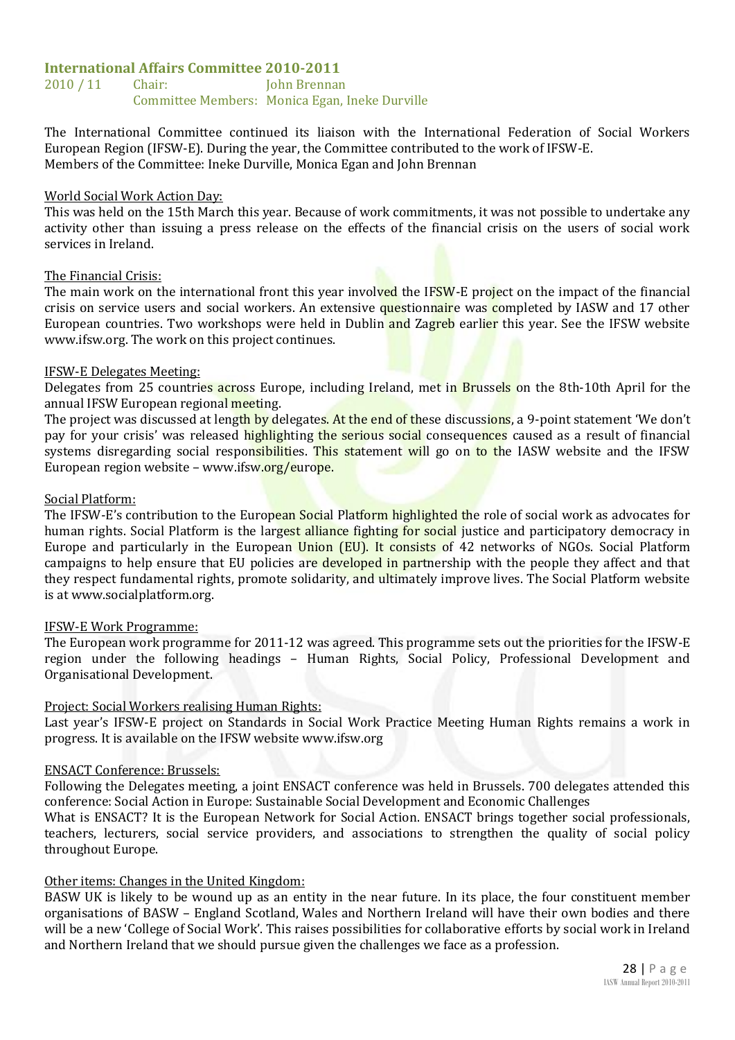#### **International Affairs Committee 2010-2011**

2010 / 11 Chair: John Brennan Committee Members: Monica Egan, Ineke Durville

The International Committee continued its liaison with the International Federation of Social Workers European Region (IFSW-E). During the year, the Committee contributed to the work of IFSW-E. Members of the Committee: Ineke Durville, Monica Egan and John Brennan

#### World Social Work Action Day:

This was held on the 15th March this year. Because of work commitments, it was not possible to undertake any activity other than issuing a press release on the effects of the financial crisis on the users of social work services in Ireland.

#### The Financial Crisis:

The main work on the international front this year involved the IFSW-E project on the impact of the financial crisis on service users and social workers. An extensive questionnaire was completed by IASW and 17 other European countries. Two workshops were held in Dublin and Zagreb earlier this year. See the IFSW website www.ifsw.org. The work on this project continues.

#### IFSW-E Delegates Meeting:

Delegates from 25 countries across Europe, including Ireland, met in Brussels on the 8th-10th April for the annual IFSW European regional meeting.

The project was discussed at length by delegates. At the end of these discussions, a 9-point statement 'We don't pay for your crisis' was released highlighting the serious social consequences caused as a result of financial systems disregarding social responsibilities. This statement will go on to the IASW website and the IFSW European region website – www.ifsw.org/europe.

#### Social Platform:

The IFSW-E's contribution to the European Social Platform highlighted the role of social work as advocates for human rights. Social Platform is the largest alliance fighting for social justice and participatory democracy in Europe and particularly in the European Union (EU). It consists of 42 networks of NGOs. Social Platform campaigns to help ensure that EU policies are developed in partnership with the people they affect and that they respect fundamental rights, promote solidarity, and ultimately improve lives. The Social Platform website is at www.socialplatform.org.

#### IFSW-E Work Programme:

The European work programme for 2011-12 was agreed. This programme sets out the priorities for the IFSW-E region under the following headings – Human Rights, Social Policy, Professional Development and Organisational Development.

#### Project: Social Workers realising Human Rights:

Last year's IFSW-E project on Standards in Social Work Practice Meeting Human Rights remains a work in progress. It is available on the IFSW website www.ifsw.org

#### ENSACT Conference: Brussels:

Following the Delegates meeting, a joint ENSACT conference was held in Brussels. 700 delegates attended this conference: Social Action in Europe: Sustainable Social Development and Economic Challenges

What is ENSACT? It is the European Network for Social Action. ENSACT brings together social professionals, teachers, lecturers, social service providers, and associations to strengthen the quality of social policy throughout Europe.

#### Other items: Changes in the United Kingdom:

BASW UK is likely to be wound up as an entity in the near future. In its place, the four constituent member organisations of BASW – England Scotland, Wales and Northern Ireland will have their own bodies and there will be a new 'College of Social Work'. This raises possibilities for collaborative efforts by social work in Ireland and Northern Ireland that we should pursue given the challenges we face as a profession.